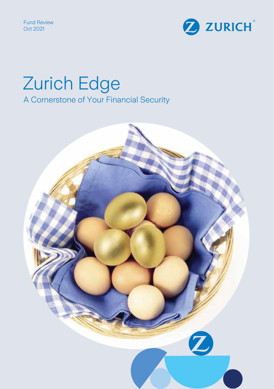Fund Review Oct 2021



# Zurich Edge A Cornerstone of Your Financial Security

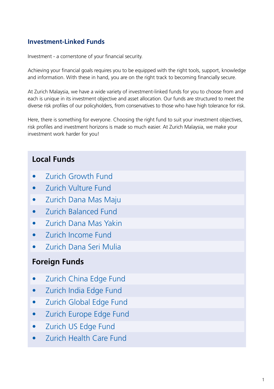## **Investment-Linked Funds**

Investment - a cornerstone of your financial security.

Achieving your financial goals requires you to be equipped with the right tools, support, knowledge and information. With these in hand, you are on the right track to becoming financially secure.

At Zurich Malaysia, we have a wide variety of investment-linked funds for you to choose from and each is unique in its investment objective and asset allocation. Our funds are structured to meet the diverse risk profiles of our policyholders, from conservatives to those who have high tolerance for risk.

Here, there is something for everyone. Choosing the right fund to suit your investment objectives, risk profiles and investment horizons is made so much easier. At Zurich Malaysia, we make your investment work harder for you!

## **Local Funds**

- Zurich Growth Fund
- Zurich Vulture Fund
- Zurich Dana Mas Maju
- Zurich Balanced Fund
- Zurich Dana Mas Yakin
- Zurich Income Fund
- Zurich Dana Seri Mulia

## **Foreign Funds**

- Zurich China Edge Fund
- Zurich India Edge Fund
- Zurich Global Edge Fund
- Zurich Europe Edge Fund
- Zurich US Edge Fund
- Zurich Health Care Fund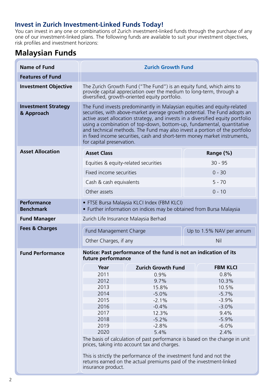### **Invest in Zurich Investment-Linked Funds Today!**

You can invest in any one or combinations of Zurich investment-linked funds through the purchase of any one of our investment-linked plans. The following funds are available to suit your investment objectives, risk profiles and investment horizons:

## **Malaysian Funds**

| <b>Name of Fund</b>                      | <b>Zurich Growth Fund</b>                                                                                                                                                                                                                                                                                                                                                                                                                                                                                 |                                                                                                                                            |                          |
|------------------------------------------|-----------------------------------------------------------------------------------------------------------------------------------------------------------------------------------------------------------------------------------------------------------------------------------------------------------------------------------------------------------------------------------------------------------------------------------------------------------------------------------------------------------|--------------------------------------------------------------------------------------------------------------------------------------------|--------------------------|
| <b>Features of Fund</b>                  |                                                                                                                                                                                                                                                                                                                                                                                                                                                                                                           |                                                                                                                                            |                          |
| <b>Investment Objective</b>              | The Zurich Growth Fund ("The Fund") is an equity fund, which aims to<br>provide capital appreciation over the medium to long-term, through a<br>diversified, growth-oriented equity portfolio.                                                                                                                                                                                                                                                                                                            |                                                                                                                                            |                          |
| <b>Investment Strategy</b><br>& Approach | The Fund invests predominantly in Malaysian equities and equity-related<br>securities, with above-market average growth potential. The Fund adopts an<br>active asset allocation strategy, and invests in a diversified equity portfolio<br>using a combination of top-down, bottom-up, fundamental, quantitative<br>and technical methods. The Fund may also invest a portion of the portfolio<br>in fixed income securities, cash and short-term money market instruments,<br>for capital preservation. |                                                                                                                                            |                          |
| <b>Asset Allocation</b>                  | <b>Asset Class</b>                                                                                                                                                                                                                                                                                                                                                                                                                                                                                        |                                                                                                                                            | Range (%)                |
|                                          | Equities & equity-related securities                                                                                                                                                                                                                                                                                                                                                                                                                                                                      |                                                                                                                                            | $30 - 95$                |
|                                          | Fixed income securities                                                                                                                                                                                                                                                                                                                                                                                                                                                                                   |                                                                                                                                            | $0 - 30$                 |
|                                          | Cash & cash equivalents                                                                                                                                                                                                                                                                                                                                                                                                                                                                                   |                                                                                                                                            | $5 - 70$                 |
|                                          | Other assets                                                                                                                                                                                                                                                                                                                                                                                                                                                                                              |                                                                                                                                            | $0 - 10$                 |
| <b>Performance</b><br><b>Benchmark</b>   | • FTSE Bursa Malaysia KLCI Index (FBM KLCI)<br>• Further information on indices may be obtained from Bursa Malaysia                                                                                                                                                                                                                                                                                                                                                                                       |                                                                                                                                            |                          |
| <b>Fund Manager</b>                      | Zurich Life Insurance Malaysia Berhad                                                                                                                                                                                                                                                                                                                                                                                                                                                                     |                                                                                                                                            |                          |
| <b>Fees &amp; Charges</b>                | Fund Management Charge                                                                                                                                                                                                                                                                                                                                                                                                                                                                                    |                                                                                                                                            | Up to 1.5% NAV per annum |
|                                          | Other Charges, if any                                                                                                                                                                                                                                                                                                                                                                                                                                                                                     |                                                                                                                                            | Nil                      |
|                                          | Notice: Past performance of the fund is not an indication of its                                                                                                                                                                                                                                                                                                                                                                                                                                          |                                                                                                                                            |                          |
| <b>Fund Performance</b>                  | future performance                                                                                                                                                                                                                                                                                                                                                                                                                                                                                        |                                                                                                                                            |                          |
|                                          | Year                                                                                                                                                                                                                                                                                                                                                                                                                                                                                                      | <b>Zurich Growth Fund</b>                                                                                                                  | <b>FBM KLCI</b>          |
|                                          | 2011                                                                                                                                                                                                                                                                                                                                                                                                                                                                                                      | 0.9%                                                                                                                                       | 0.8%                     |
|                                          | 2012                                                                                                                                                                                                                                                                                                                                                                                                                                                                                                      | 9.7%                                                                                                                                       | 10.3%                    |
|                                          | 2013                                                                                                                                                                                                                                                                                                                                                                                                                                                                                                      | 15.8%                                                                                                                                      | 10.5%                    |
|                                          | 2014                                                                                                                                                                                                                                                                                                                                                                                                                                                                                                      | $-5.0%$                                                                                                                                    | $-5.7%$                  |
|                                          | 2015<br>2016                                                                                                                                                                                                                                                                                                                                                                                                                                                                                              | $-2.1%$<br>$-0.4%$                                                                                                                         | $-3.9%$<br>$-3.0%$       |
|                                          | 2017                                                                                                                                                                                                                                                                                                                                                                                                                                                                                                      | 12.3%                                                                                                                                      | 9.4%                     |
|                                          | 2018                                                                                                                                                                                                                                                                                                                                                                                                                                                                                                      | $-5.2%$                                                                                                                                    | $-5.9%$                  |
|                                          | 2019                                                                                                                                                                                                                                                                                                                                                                                                                                                                                                      | $-2.8%$                                                                                                                                    | $-6.0%$                  |
|                                          | 2020                                                                                                                                                                                                                                                                                                                                                                                                                                                                                                      | 5.4%                                                                                                                                       | 2.4%                     |
|                                          | The basis of calculation of past performance is based on the change in unit<br>prices, taking into account tax and charges.                                                                                                                                                                                                                                                                                                                                                                               |                                                                                                                                            |                          |
|                                          | insurance product.                                                                                                                                                                                                                                                                                                                                                                                                                                                                                        | This is strictly the performance of the investment fund and not the<br>returns earned on the actual premiums paid of the investment-linked |                          |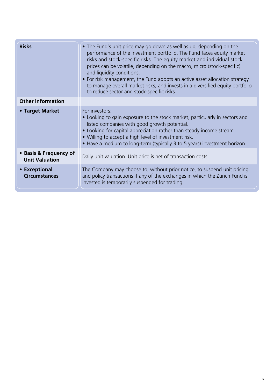| <b>Risks</b>                                    | • The Fund's unit price may go down as well as up, depending on the<br>performance of the investment portfolio. The Fund faces equity market<br>risks and stock-specific risks. The equity market and individual stock<br>prices can be volatile, depending on the macro, micro (stock-specific)<br>and liquidity conditions.<br>• For risk management, the Fund adopts an active asset allocation strategy<br>to manage overall market risks, and invests in a diversified equity portfolio<br>to reduce sector and stock-specific risks. |
|-------------------------------------------------|--------------------------------------------------------------------------------------------------------------------------------------------------------------------------------------------------------------------------------------------------------------------------------------------------------------------------------------------------------------------------------------------------------------------------------------------------------------------------------------------------------------------------------------------|
| <b>Other Information</b>                        |                                                                                                                                                                                                                                                                                                                                                                                                                                                                                                                                            |
| • Target Market                                 | For investors:<br>• Looking to gain exposure to the stock market, particularly in sectors and<br>listed companies with good growth potential.<br>• Looking for capital appreciation rather than steady income stream.<br>• Willing to accept a high level of investment risk.<br>• Have a medium to long-term (typically 3 to 5 years) investment horizon.                                                                                                                                                                                 |
| • Basis & Frequency of<br><b>Unit Valuation</b> | Daily unit valuation. Unit price is net of transaction costs.                                                                                                                                                                                                                                                                                                                                                                                                                                                                              |
| • Exceptional<br><b>Circumstances</b>           | The Company may choose to, without prior notice, to suspend unit pricing<br>and policy transactions if any of the exchanges in which the Zurich Fund is<br>invested is temporarily suspended for trading.                                                                                                                                                                                                                                                                                                                                  |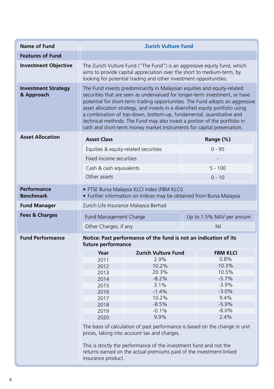| <b>Name of Fund</b>                      | <b>Zurich Vulture Fund</b>                                                                                                                                                                                                                                                                                                                                                                                                                                                                                                                              |                                                                                                                                                                                            |                                                                             |
|------------------------------------------|---------------------------------------------------------------------------------------------------------------------------------------------------------------------------------------------------------------------------------------------------------------------------------------------------------------------------------------------------------------------------------------------------------------------------------------------------------------------------------------------------------------------------------------------------------|--------------------------------------------------------------------------------------------------------------------------------------------------------------------------------------------|-----------------------------------------------------------------------------|
| <b>Features of Fund</b>                  |                                                                                                                                                                                                                                                                                                                                                                                                                                                                                                                                                         |                                                                                                                                                                                            |                                                                             |
| <b>Investment Objective</b>              | The Zurich Vulture Fund ("The Fund") is an aggressive equity fund, which<br>aims to provide capital appreciation over the short to medium-term, by<br>looking for potential trading and other investment opportunities.                                                                                                                                                                                                                                                                                                                                 |                                                                                                                                                                                            |                                                                             |
| <b>Investment Strategy</b><br>& Approach | The Fund invests predominantly in Malaysian equities and equity-related<br>securities that are seen as undervalued for longer-term investment, or have<br>potential for short-term trading opportunities. The Fund adopts an aggressive<br>asset allocation strategy, and invests in a diversified equity portfolio using<br>a combination of top-down, bottom-up, fundamental, quantitative and<br>technical methods. The Fund may also invest a portion of the portfolio in<br>cash and short-term money market instruments for capital preservation. |                                                                                                                                                                                            |                                                                             |
| <b>Asset Allocation</b>                  | <b>Asset Class</b>                                                                                                                                                                                                                                                                                                                                                                                                                                                                                                                                      |                                                                                                                                                                                            | Range (%)                                                                   |
|                                          | Equities & equity-related securities                                                                                                                                                                                                                                                                                                                                                                                                                                                                                                                    |                                                                                                                                                                                            | $0 - 95$                                                                    |
|                                          | Fixed income securities                                                                                                                                                                                                                                                                                                                                                                                                                                                                                                                                 |                                                                                                                                                                                            |                                                                             |
|                                          |                                                                                                                                                                                                                                                                                                                                                                                                                                                                                                                                                         |                                                                                                                                                                                            |                                                                             |
|                                          | Cash & cash equivalents                                                                                                                                                                                                                                                                                                                                                                                                                                                                                                                                 |                                                                                                                                                                                            | $5 - 100$                                                                   |
|                                          | Other assets                                                                                                                                                                                                                                                                                                                                                                                                                                                                                                                                            |                                                                                                                                                                                            | $0 - 10$                                                                    |
| Performance<br><b>Benchmark</b>          | • FTSE Bursa Malaysia KLCI Index (FBM KLCI)<br>• Further information on indices may be obtained from Bursa Malaysia                                                                                                                                                                                                                                                                                                                                                                                                                                     |                                                                                                                                                                                            |                                                                             |
| <b>Fund Manager</b>                      | Zurich Life Insurance Malaysia Berhad                                                                                                                                                                                                                                                                                                                                                                                                                                                                                                                   |                                                                                                                                                                                            |                                                                             |
| <b>Fees &amp; Charges</b>                | Fund Management Charge                                                                                                                                                                                                                                                                                                                                                                                                                                                                                                                                  |                                                                                                                                                                                            | Up to 1.5% NAV per annum                                                    |
|                                          | Other Charges, if any                                                                                                                                                                                                                                                                                                                                                                                                                                                                                                                                   |                                                                                                                                                                                            | Nil                                                                         |
| <b>Fund Performance</b>                  | Notice: Past performance of the fund is not an indication of its<br>future performance                                                                                                                                                                                                                                                                                                                                                                                                                                                                  |                                                                                                                                                                                            |                                                                             |
|                                          | Year                                                                                                                                                                                                                                                                                                                                                                                                                                                                                                                                                    | <b>Zurich Vulture Fund</b>                                                                                                                                                                 | <b>FBM KLCI</b>                                                             |
|                                          | 2011                                                                                                                                                                                                                                                                                                                                                                                                                                                                                                                                                    | 2.9%                                                                                                                                                                                       | 0.8%                                                                        |
|                                          | 2012                                                                                                                                                                                                                                                                                                                                                                                                                                                                                                                                                    | 10.2%                                                                                                                                                                                      | 10.3%                                                                       |
|                                          | 2013                                                                                                                                                                                                                                                                                                                                                                                                                                                                                                                                                    | 20.3%<br>$-8.2%$                                                                                                                                                                           | 10.5%<br>$-5.7%$                                                            |
|                                          | 2014<br>2015                                                                                                                                                                                                                                                                                                                                                                                                                                                                                                                                            | 3.1%                                                                                                                                                                                       | $-3.9%$                                                                     |
|                                          | 2016                                                                                                                                                                                                                                                                                                                                                                                                                                                                                                                                                    | $-1.4%$                                                                                                                                                                                    | $-3.0%$                                                                     |
|                                          | 2017                                                                                                                                                                                                                                                                                                                                                                                                                                                                                                                                                    | 10.2%                                                                                                                                                                                      | 9.4%                                                                        |
|                                          | 2018                                                                                                                                                                                                                                                                                                                                                                                                                                                                                                                                                    | $-8.5%$                                                                                                                                                                                    | $-5.9%$                                                                     |
|                                          | 2019                                                                                                                                                                                                                                                                                                                                                                                                                                                                                                                                                    | $-0.1%$                                                                                                                                                                                    | $-6.0%$                                                                     |
|                                          | 2020                                                                                                                                                                                                                                                                                                                                                                                                                                                                                                                                                    | 9.9%                                                                                                                                                                                       | 2.4%                                                                        |
|                                          | insurance product.                                                                                                                                                                                                                                                                                                                                                                                                                                                                                                                                      | prices, taking into account tax and charges.<br>This is strictly the performance of the investment fund and not the<br>returns earned on the actual premiums paid of the investment-linked | The basis of calculation of past performance is based on the change in unit |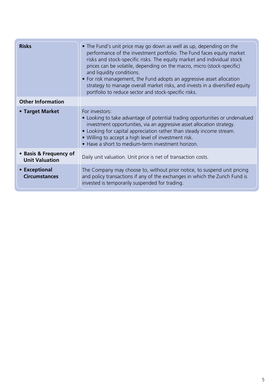| <b>Risks</b>                                    | • The Fund's unit price may go down as well as up, depending on the<br>performance of the investment portfolio. The Fund faces equity market<br>risks and stock-specific risks. The equity market and individual stock<br>prices can be volatile, depending on the macro, micro (stock-specific)<br>and liquidity conditions.<br>• For risk management, the Fund adopts an aggressive asset allocation<br>strategy to manage overall market risks, and invests in a diversified equity<br>portfolio to reduce sector and stock-specific risks. |
|-------------------------------------------------|------------------------------------------------------------------------------------------------------------------------------------------------------------------------------------------------------------------------------------------------------------------------------------------------------------------------------------------------------------------------------------------------------------------------------------------------------------------------------------------------------------------------------------------------|
| <b>Other Information</b>                        |                                                                                                                                                                                                                                                                                                                                                                                                                                                                                                                                                |
| • Target Market                                 | For investors:<br>• Looking to take advantage of potential trading opportunities or undervalued<br>investment opportunities, via an aggressive asset allocation strategy.<br>• Looking for capital appreciation rather than steady income stream.<br>• Willing to accept a high level of investment risk.<br>• Have a short to medium-term investment horizon.                                                                                                                                                                                 |
| • Basis & Frequency of<br><b>Unit Valuation</b> | Daily unit valuation. Unit price is net of transaction costs.                                                                                                                                                                                                                                                                                                                                                                                                                                                                                  |
| • Exceptional<br><b>Circumstances</b>           | The Company may choose to, without prior notice, to suspend unit pricing<br>and policy transactions if any of the exchanges in which the Zurich Fund is<br>invested is temporarily suspended for trading.                                                                                                                                                                                                                                                                                                                                      |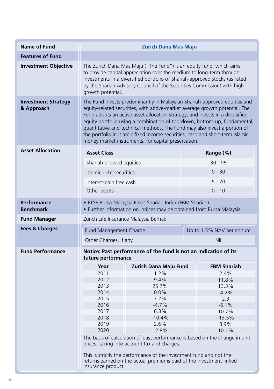| <b>Name of Fund</b>                      | <b>Zurich Dana Mas Maju</b>                                                                                                                                                                                                                                                                                                                                                                                                                                                                                                                |                       |  |                          |
|------------------------------------------|--------------------------------------------------------------------------------------------------------------------------------------------------------------------------------------------------------------------------------------------------------------------------------------------------------------------------------------------------------------------------------------------------------------------------------------------------------------------------------------------------------------------------------------------|-----------------------|--|--------------------------|
| <b>Features of Fund</b>                  |                                                                                                                                                                                                                                                                                                                                                                                                                                                                                                                                            |                       |  |                          |
| <b>Investment Objective</b>              | The Zurich Dana Mas Maju ("The Fund") is an equity fund, which aims<br>to provide capital appreciation over the medium to long-term through<br>investments in a diversified portfolio of Shariah-approved stocks (as listed<br>by the Shariah Advisory Council of the Securities Commission) with high<br>growth potential.                                                                                                                                                                                                                |                       |  |                          |
| <b>Investment Strategy</b><br>& Approach | The Fund invests predominantly in Malaysian Shariah-approved equities and<br>equity-related securities, with above-market average growth potential. The<br>Fund adopts an active asset allocation strategy, and invests in a diversified<br>equity portfolio using a combination of top-down, bottom-up, fundamental,<br>quantitative and technical methods. The Fund may also invest a portion of<br>the portfolio in Islamic fixed income securities, cash and short-term Islamic<br>money market instruments, for capital preservation. |                       |  |                          |
| <b>Asset Allocation</b>                  | <b>Asset Class</b>                                                                                                                                                                                                                                                                                                                                                                                                                                                                                                                         |                       |  | Range (%)                |
|                                          | Shariah-allowed equities                                                                                                                                                                                                                                                                                                                                                                                                                                                                                                                   |                       |  | $30 - 95$                |
|                                          |                                                                                                                                                                                                                                                                                                                                                                                                                                                                                                                                            |                       |  | $0 - 30$                 |
|                                          | Islamic debt securities                                                                                                                                                                                                                                                                                                                                                                                                                                                                                                                    |                       |  |                          |
|                                          | Interest-gain free cash                                                                                                                                                                                                                                                                                                                                                                                                                                                                                                                    |                       |  | $5 - 70$                 |
|                                          | Other assets<br>$0 - 10$                                                                                                                                                                                                                                                                                                                                                                                                                                                                                                                   |                       |  |                          |
| Performance<br><b>Benchmark</b>          | • FTSE Bursa Malaysia Emas Shariah Index (FBM Shariah)<br>• Further information on indices may be obtained from Bursa Malaysia                                                                                                                                                                                                                                                                                                                                                                                                             |                       |  |                          |
| <b>Fund Manager</b>                      | Zurich Life Insurance Malaysia Berhad                                                                                                                                                                                                                                                                                                                                                                                                                                                                                                      |                       |  |                          |
| <b>Fees &amp; Charges</b>                | <b>Fund Management Charge</b>                                                                                                                                                                                                                                                                                                                                                                                                                                                                                                              |                       |  | Up to 1.5% NAV per annum |
|                                          | Other Charges, if any                                                                                                                                                                                                                                                                                                                                                                                                                                                                                                                      |                       |  | Nil                      |
| <b>Fund Performance</b>                  | Notice: Past performance of the fund is not an indication of its<br>future performance                                                                                                                                                                                                                                                                                                                                                                                                                                                     |                       |  |                          |
|                                          | Year                                                                                                                                                                                                                                                                                                                                                                                                                                                                                                                                       | Zurich Dana Maju Fund |  | <b>FBM Shariah</b>       |
|                                          | 2011                                                                                                                                                                                                                                                                                                                                                                                                                                                                                                                                       | 1.2%                  |  | 2.4%                     |
|                                          | 2012                                                                                                                                                                                                                                                                                                                                                                                                                                                                                                                                       | 9.4%                  |  | 11.8%                    |
|                                          | 2013                                                                                                                                                                                                                                                                                                                                                                                                                                                                                                                                       | 25.7%                 |  | 13.3%                    |
|                                          | 2014<br>2015                                                                                                                                                                                                                                                                                                                                                                                                                                                                                                                               | 0.0%<br>7.2%          |  | $-4.2%$<br>2.3           |
|                                          | 2016                                                                                                                                                                                                                                                                                                                                                                                                                                                                                                                                       | $-4.7%$               |  | $-6.1%$                  |
|                                          | 2017                                                                                                                                                                                                                                                                                                                                                                                                                                                                                                                                       | 6.3%                  |  | 10.7%                    |
|                                          | 2018                                                                                                                                                                                                                                                                                                                                                                                                                                                                                                                                       | $-10.4%$              |  | $-13.5%$                 |
|                                          | 2019                                                                                                                                                                                                                                                                                                                                                                                                                                                                                                                                       | 2.6%                  |  | 3.9%                     |
|                                          | 2020                                                                                                                                                                                                                                                                                                                                                                                                                                                                                                                                       | 12.8%                 |  | 10.1%                    |
|                                          | The basis of calculation of past performance is based on the change in unit<br>prices, taking into account tax and charges.                                                                                                                                                                                                                                                                                                                                                                                                                |                       |  |                          |
|                                          | This is strictly the performance of the investment fund and not the<br>returns earned on the actual premiums paid of the investment-linked<br>insurance product.                                                                                                                                                                                                                                                                                                                                                                           |                       |  |                          |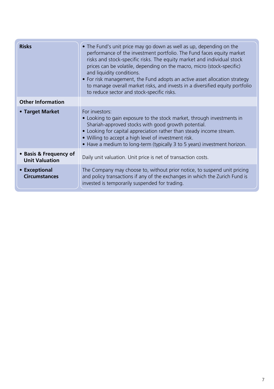| <b>Risks</b>                                    | • The Fund's unit price may go down as well as up, depending on the<br>performance of the investment portfolio. The Fund faces equity market<br>risks and stock-specific risks. The equity market and individual stock<br>prices can be volatile, depending on the macro, micro (stock-specific)<br>and liquidity conditions.<br>• For risk management, the Fund adopts an active asset allocation strategy<br>to manage overall market risks, and invests in a diversified equity portfolio<br>to reduce sector and stock-specific risks. |
|-------------------------------------------------|--------------------------------------------------------------------------------------------------------------------------------------------------------------------------------------------------------------------------------------------------------------------------------------------------------------------------------------------------------------------------------------------------------------------------------------------------------------------------------------------------------------------------------------------|
| <b>Other Information</b>                        |                                                                                                                                                                                                                                                                                                                                                                                                                                                                                                                                            |
| • Target Market                                 | For investors:<br>• Looking to gain exposure to the stock market, through investments in<br>Shariah-approved stocks with good growth potential.<br>• Looking for capital appreciation rather than steady income stream.<br>• Willing to accept a high level of investment risk.<br>• Have a medium to long-term (typically 3 to 5 years) investment horizon.                                                                                                                                                                               |
| • Basis & Frequency of<br><b>Unit Valuation</b> | Daily unit valuation. Unit price is net of transaction costs.                                                                                                                                                                                                                                                                                                                                                                                                                                                                              |
| • Exceptional<br><b>Circumstances</b>           | The Company may choose to, without prior notice, to suspend unit pricing<br>and policy transactions if any of the exchanges in which the Zurich Fund is<br>invested is temporarily suspended for trading.                                                                                                                                                                                                                                                                                                                                  |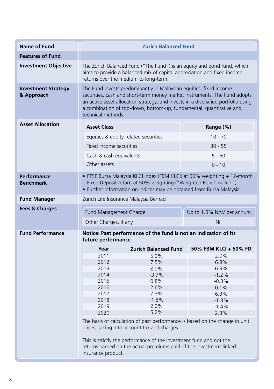| <b>Name of Fund</b>                      | <b>Zurich Balanced Fund</b>                                                                                                                                                                                                                                                                                                       |                             |                          |
|------------------------------------------|-----------------------------------------------------------------------------------------------------------------------------------------------------------------------------------------------------------------------------------------------------------------------------------------------------------------------------------|-----------------------------|--------------------------|
| <b>Features of Fund</b>                  |                                                                                                                                                                                                                                                                                                                                   |                             |                          |
| <b>Investment Objective</b>              | The Zurich Balanced Fund ("The Fund") is an equity and bond fund, which<br>aims to provide a balanced mix of capital appreciation and fixed income<br>returns over the medium to long-term.                                                                                                                                       |                             |                          |
| <b>Investment Strategy</b><br>& Approach | The Fund invests predominantly in Malaysian equities, fixed income<br>securities, cash and short-term money market instruments. The Fund adopts<br>an active asset allocation strategy, and invests in a diversified portfolio using<br>a combination of top-down, bottom-up, fundamental, quantitative and<br>technical methods. |                             |                          |
| <b>Asset Allocation</b>                  | <b>Asset Class</b>                                                                                                                                                                                                                                                                                                                |                             | Range (%)                |
|                                          | Equities & equity-related securities                                                                                                                                                                                                                                                                                              |                             | $10 - 70$                |
|                                          | Fixed income securities                                                                                                                                                                                                                                                                                                           |                             | $30 - 55$                |
|                                          | Cash & cash equivalents                                                                                                                                                                                                                                                                                                           |                             | $5 - 60$                 |
|                                          | Other assets                                                                                                                                                                                                                                                                                                                      |                             | $0 - 10$                 |
| Performance<br><b>Benchmark</b>          | • FTSE Bursa Malaysia KLCI Index (FBM KLCI) at 50% weighting + 12-month<br>Fixed Deposit return at 50% weighting ("Weighted Benchmark 1")<br>• Further information on indices may be obtained from Bursa Malaysia                                                                                                                 |                             |                          |
| <b>Fund Manager</b>                      | Zurich Life Insurance Malaysia Berhad                                                                                                                                                                                                                                                                                             |                             |                          |
| <b>Fees &amp; Charges</b>                | Fund Management Charge                                                                                                                                                                                                                                                                                                            |                             | Up to 1.5% NAV per annum |
|                                          | Other Charges, if any                                                                                                                                                                                                                                                                                                             |                             | Nil                      |
| <b>Fund Performance</b>                  | Notice: Past performance of the fund is not an indication of its<br>future performance                                                                                                                                                                                                                                            |                             |                          |
|                                          | Year                                                                                                                                                                                                                                                                                                                              | <b>Zurich Balanced Fund</b> | 50% FBM KLCI + 50% FD    |
|                                          | 2011                                                                                                                                                                                                                                                                                                                              | 5.0%                        | 2.0%                     |
|                                          | 2012                                                                                                                                                                                                                                                                                                                              | 7.5%                        | 6.8%                     |
|                                          | 2013                                                                                                                                                                                                                                                                                                                              | 8.9%                        | 6.9%                     |
|                                          | 2014<br>2015                                                                                                                                                                                                                                                                                                                      | $-3.7%$                     | $-1.2%$                  |
|                                          | 2016                                                                                                                                                                                                                                                                                                                              | 0.8%<br>2.6%                | $-0.3%$<br>0.1%          |
|                                          | 2017                                                                                                                                                                                                                                                                                                                              | 7.8%                        | 6.3%                     |
|                                          | 2018                                                                                                                                                                                                                                                                                                                              | $-1.8%$                     | $-1.3%$                  |
|                                          | 2019                                                                                                                                                                                                                                                                                                                              | 2.0%                        | $-1.4%$                  |
|                                          | 2020                                                                                                                                                                                                                                                                                                                              | 5.2%                        | 2.3%                     |
|                                          | The basis of calculation of past performance is based on the change in unit<br>prices, taking into account tax and charges.<br>This is strictly the performance of the investment fund and not the                                                                                                                                |                             |                          |
|                                          | returns earned on the actual premiums paid of the investment-linked<br>insurance product.                                                                                                                                                                                                                                         |                             |                          |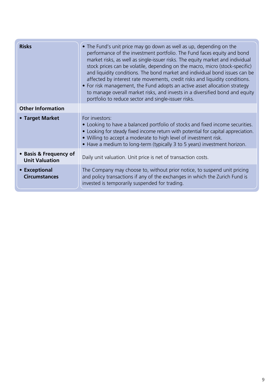| <b>Risks</b>                                    | • The Fund's unit price may go down as well as up, depending on the<br>performance of the investment portfolio. The Fund faces equity and bond<br>market risks, as well as single-issuer risks. The equity market and individual<br>stock prices can be volatile, depending on the macro, micro (stock-specific)<br>and liquidity conditions. The bond market and individual bond issues can be<br>affected by interest rate movements, credit risks and liquidity conditions.<br>• For risk management, the Fund adopts an active asset allocation strategy<br>to manage overall market risks, and invests in a diversified bond and equity<br>portfolio to reduce sector and single-issuer risks. |
|-------------------------------------------------|-----------------------------------------------------------------------------------------------------------------------------------------------------------------------------------------------------------------------------------------------------------------------------------------------------------------------------------------------------------------------------------------------------------------------------------------------------------------------------------------------------------------------------------------------------------------------------------------------------------------------------------------------------------------------------------------------------|
| <b>Other Information</b>                        |                                                                                                                                                                                                                                                                                                                                                                                                                                                                                                                                                                                                                                                                                                     |
| • Target Market                                 | For investors:<br>• Looking to have a balanced portfolio of stocks and fixed income securities.<br>• Looking for steady fixed income return with potential for capital appreciation.<br>• Willing to accept a moderate to high level of investment risk.<br>• Have a medium to long-term (typically 3 to 5 years) investment horizon.                                                                                                                                                                                                                                                                                                                                                               |
| • Basis & Frequency of<br><b>Unit Valuation</b> | Daily unit valuation. Unit price is net of transaction costs.                                                                                                                                                                                                                                                                                                                                                                                                                                                                                                                                                                                                                                       |
| • Exceptional<br><b>Circumstances</b>           | The Company may choose to, without prior notice, to suspend unit pricing<br>and policy transactions if any of the exchanges in which the Zurich Fund is<br>invested is temporarily suspended for trading.                                                                                                                                                                                                                                                                                                                                                                                                                                                                                           |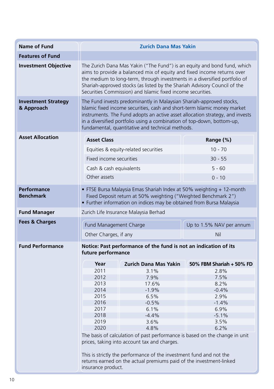| <b>Name of Fund</b>                      | <b>Zurich Dana Mas Yakin</b>                                                                                                                                                                                                                                                                                                                                                 |                                                                                                                                                                                                                                                                                                                      |                                                                                                                                                                                                  |
|------------------------------------------|------------------------------------------------------------------------------------------------------------------------------------------------------------------------------------------------------------------------------------------------------------------------------------------------------------------------------------------------------------------------------|----------------------------------------------------------------------------------------------------------------------------------------------------------------------------------------------------------------------------------------------------------------------------------------------------------------------|--------------------------------------------------------------------------------------------------------------------------------------------------------------------------------------------------|
| <b>Features of Fund</b>                  |                                                                                                                                                                                                                                                                                                                                                                              |                                                                                                                                                                                                                                                                                                                      |                                                                                                                                                                                                  |
| <b>Investment Objective</b>              | The Zurich Dana Mas Yakin ("The Fund") is an equity and bond fund, which<br>aims to provide a balanced mix of equity and fixed income returns over<br>the medium to long-term, through investments in a diversified portfolio of<br>Shariah-approved stocks (as listed by the Shariah Advisory Council of the<br>Securities Commission) and Islamic fixed income securities. |                                                                                                                                                                                                                                                                                                                      |                                                                                                                                                                                                  |
| <b>Investment Strategy</b><br>& Approach | The Fund invests predominantly in Malaysian Shariah-approved stocks,<br>Islamic fixed income securities, cash and short-term Islamic money market<br>instruments. The Fund adopts an active asset allocation strategy, and invests<br>in a diversified portfolio using a combination of top-down, bottom-up,<br>fundamental, quantitative and technical methods.             |                                                                                                                                                                                                                                                                                                                      |                                                                                                                                                                                                  |
| <b>Asset Allocation</b>                  | <b>Asset Class</b>                                                                                                                                                                                                                                                                                                                                                           |                                                                                                                                                                                                                                                                                                                      | Range (%)                                                                                                                                                                                        |
|                                          |                                                                                                                                                                                                                                                                                                                                                                              | Equities & equity-related securities                                                                                                                                                                                                                                                                                 | $10 - 70$                                                                                                                                                                                        |
|                                          | Fixed income securities                                                                                                                                                                                                                                                                                                                                                      |                                                                                                                                                                                                                                                                                                                      | $30 - 55$                                                                                                                                                                                        |
|                                          | Cash & cash equivalents                                                                                                                                                                                                                                                                                                                                                      |                                                                                                                                                                                                                                                                                                                      | $5 - 60$                                                                                                                                                                                         |
|                                          | Other assets                                                                                                                                                                                                                                                                                                                                                                 |                                                                                                                                                                                                                                                                                                                      | $0 - 10$                                                                                                                                                                                         |
| Performance<br><b>Benchmark</b>          | • FTSE Bursa Malaysia Emas Shariah Index at 50% weighting + 12-month<br>Fixed Deposit return at 50% weighting ("Weighted Benchmark 2")<br>• Further information on indices may be obtained from Bursa Malaysia                                                                                                                                                               |                                                                                                                                                                                                                                                                                                                      |                                                                                                                                                                                                  |
| <b>Fund Manager</b>                      | Zurich Life Insurance Malaysia Berhad                                                                                                                                                                                                                                                                                                                                        |                                                                                                                                                                                                                                                                                                                      |                                                                                                                                                                                                  |
| <b>Fees &amp; Charges</b>                | Fund Management Charge                                                                                                                                                                                                                                                                                                                                                       |                                                                                                                                                                                                                                                                                                                      | Up to 1.5% NAV per annum                                                                                                                                                                         |
|                                          | Other Charges, if any                                                                                                                                                                                                                                                                                                                                                        |                                                                                                                                                                                                                                                                                                                      | Nil                                                                                                                                                                                              |
| <b>Fund Performance</b>                  | Notice: Past performance of the fund is not an indication of its<br>future performance                                                                                                                                                                                                                                                                                       |                                                                                                                                                                                                                                                                                                                      |                                                                                                                                                                                                  |
|                                          | Year<br>2011<br>2012<br>2013<br>2014<br>2015<br>2016<br>2017<br>2018<br>2019<br>2020                                                                                                                                                                                                                                                                                         | <b>Zurich Dana Mas Yakin</b><br>3.1%<br>7.9%<br>17.6%<br>$-1.9%$<br>6.5%<br>$-0.5%$<br>6.1%<br>$-4.4%$<br>3.6%<br>4.8%<br>prices, taking into account tax and charges.<br>This is strictly the performance of the investment fund and not the<br>returns earned on the actual premiums paid of the investment-linked | 50% FBM Shariah + 50% FD<br>2.8%<br>7.5%<br>8.2%<br>$-0.4%$<br>2.9%<br>$-1.4%$<br>6.9%<br>$-5.1%$<br>3.5%<br>6.2%<br>The basis of calculation of past performance is based on the change in unit |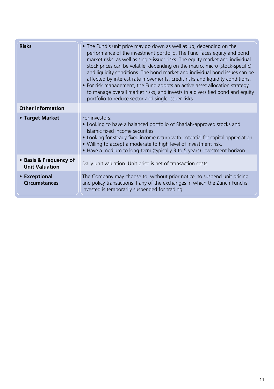| <b>Risks</b>                                    | • The Fund's unit price may go down as well as up, depending on the<br>performance of the investment portfolio. The Fund faces equity and bond<br>market risks, as well as single-issuer risks. The equity market and individual<br>stock prices can be volatile, depending on the macro, micro (stock-specific)<br>and liquidity conditions. The bond market and individual bond issues can be<br>affected by interest rate movements, credit risks and liquidity conditions.<br>• For risk management, the Fund adopts an active asset allocation strategy<br>to manage overall market risks, and invests in a diversified bond and equity<br>portfolio to reduce sector and single-issuer risks. |
|-------------------------------------------------|-----------------------------------------------------------------------------------------------------------------------------------------------------------------------------------------------------------------------------------------------------------------------------------------------------------------------------------------------------------------------------------------------------------------------------------------------------------------------------------------------------------------------------------------------------------------------------------------------------------------------------------------------------------------------------------------------------|
| <b>Other Information</b>                        |                                                                                                                                                                                                                                                                                                                                                                                                                                                                                                                                                                                                                                                                                                     |
| • Target Market                                 | For investors:<br>• Looking to have a balanced portfolio of Shariah-approved stocks and<br>Islamic fixed income securities.<br>• Looking for steady fixed income return with potential for capital appreciation.<br>• Willing to accept a moderate to high level of investment risk.<br>• Have a medium to long-term (typically 3 to 5 years) investment horizon.                                                                                                                                                                                                                                                                                                                                   |
| • Basis & Frequency of<br><b>Unit Valuation</b> | Daily unit valuation. Unit price is net of transaction costs.                                                                                                                                                                                                                                                                                                                                                                                                                                                                                                                                                                                                                                       |
| • Exceptional<br><b>Circumstances</b>           | The Company may choose to, without prior notice, to suspend unit pricing<br>and policy transactions if any of the exchanges in which the Zurich Fund is<br>invested is temporarily suspended for trading.                                                                                                                                                                                                                                                                                                                                                                                                                                                                                           |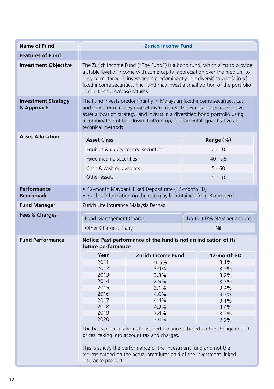| <b>Name of Fund</b>                      | <b>Zurich Income Fund</b>                                                                                                                                                                                                                                                                                                                                  |                                                                                                                                                                                            |                                                                             |
|------------------------------------------|------------------------------------------------------------------------------------------------------------------------------------------------------------------------------------------------------------------------------------------------------------------------------------------------------------------------------------------------------------|--------------------------------------------------------------------------------------------------------------------------------------------------------------------------------------------|-----------------------------------------------------------------------------|
| <b>Features of Fund</b>                  |                                                                                                                                                                                                                                                                                                                                                            |                                                                                                                                                                                            |                                                                             |
| <b>Investment Objective</b>              | The Zurich Income Fund ("The Fund") is a bond fund, which aims to provide<br>a stable level of income with some capital appreciation over the medium to<br>long-term, through investments predominantly in a diversified portfolio of<br>fixed income securities. The Fund may invest a small portion of the portfolio<br>in equities to increase returns. |                                                                                                                                                                                            |                                                                             |
| <b>Investment Strategy</b><br>& Approach | The Fund invests predominantly in Malaysian fixed income securities, cash<br>and short-term money market instruments. The Fund adopts a defensive<br>asset allocation strategy, and invests in a diversified bond portfolio using<br>a combination of top-down, bottom-up, fundamental, quantitative and<br>technical methods.                             |                                                                                                                                                                                            |                                                                             |
| <b>Asset Allocation</b>                  | <b>Asset Class</b>                                                                                                                                                                                                                                                                                                                                         |                                                                                                                                                                                            | Range (%)                                                                   |
|                                          | Equities & equity-related securities                                                                                                                                                                                                                                                                                                                       |                                                                                                                                                                                            | $0 - 10$                                                                    |
|                                          | Fixed income securities                                                                                                                                                                                                                                                                                                                                    |                                                                                                                                                                                            | $40 - 95$                                                                   |
|                                          |                                                                                                                                                                                                                                                                                                                                                            |                                                                                                                                                                                            |                                                                             |
|                                          | Cash & cash equivalents                                                                                                                                                                                                                                                                                                                                    |                                                                                                                                                                                            | $5 - 60$                                                                    |
|                                          | Other assets                                                                                                                                                                                                                                                                                                                                               |                                                                                                                                                                                            | $0 - 10$                                                                    |
| <b>Performance</b><br><b>Benchmark</b>   | • 12-month Maybank Fixed Deposit rate (12-month FD)<br>• Further information on the rate may be obtained from Bloomberg                                                                                                                                                                                                                                    |                                                                                                                                                                                            |                                                                             |
| <b>Fund Manager</b>                      | Zurich Life Insurance Malaysia Berhad                                                                                                                                                                                                                                                                                                                      |                                                                                                                                                                                            |                                                                             |
| <b>Fees &amp; Charges</b>                | Fund Management Charge                                                                                                                                                                                                                                                                                                                                     |                                                                                                                                                                                            | Up to 1.0% NAV per annum                                                    |
|                                          | Other Charges, if any                                                                                                                                                                                                                                                                                                                                      |                                                                                                                                                                                            | Nil                                                                         |
| <b>Fund Performance</b>                  | Notice: Past performance of the fund is not an indication of its<br>future performance                                                                                                                                                                                                                                                                     |                                                                                                                                                                                            |                                                                             |
|                                          | Year                                                                                                                                                                                                                                                                                                                                                       | <b>Zurich Income Fund</b>                                                                                                                                                                  | 12-month FD                                                                 |
|                                          | 2011                                                                                                                                                                                                                                                                                                                                                       | $-1.5%$                                                                                                                                                                                    | 3.1%                                                                        |
|                                          | 2012                                                                                                                                                                                                                                                                                                                                                       | 3.9%                                                                                                                                                                                       | 3.2%                                                                        |
|                                          | 2013                                                                                                                                                                                                                                                                                                                                                       | 3.3%                                                                                                                                                                                       | 3.2%                                                                        |
|                                          | 2014                                                                                                                                                                                                                                                                                                                                                       | 2.9%                                                                                                                                                                                       | 3.3%                                                                        |
|                                          | 2015<br>2016                                                                                                                                                                                                                                                                                                                                               | 3.1%<br>4.0%                                                                                                                                                                               | 3.4%<br>3.3%                                                                |
|                                          | 2017                                                                                                                                                                                                                                                                                                                                                       | 4.4%                                                                                                                                                                                       | 3.1%                                                                        |
|                                          | 2018                                                                                                                                                                                                                                                                                                                                                       | 4.3%                                                                                                                                                                                       | 3.4%                                                                        |
|                                          | 2019                                                                                                                                                                                                                                                                                                                                                       | 7.4%                                                                                                                                                                                       | 3.2%                                                                        |
|                                          | 2020                                                                                                                                                                                                                                                                                                                                                       | 3.0%                                                                                                                                                                                       | 2.2%                                                                        |
|                                          | insurance product.                                                                                                                                                                                                                                                                                                                                         | prices, taking into account tax and charges.<br>This is strictly the performance of the investment fund and not the<br>returns earned on the actual premiums paid of the investment-linked | The basis of calculation of past performance is based on the change in unit |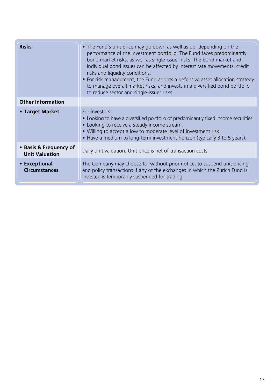| <b>Risks</b>                                    | • The Fund's unit price may go down as well as up, depending on the<br>performance of the investment portfolio. The Fund faces predominantly<br>bond market risks, as well as single-issuer risks. The bond market and<br>individual bond issues can be affected by interest rate movements, credit<br>risks and liquidity conditions.<br>• For risk management, the Fund adopts a defensive asset allocation strategy<br>to manage overall market risks, and invests in a diversified bond portfolio<br>to reduce sector and single-issuer risks. |
|-------------------------------------------------|----------------------------------------------------------------------------------------------------------------------------------------------------------------------------------------------------------------------------------------------------------------------------------------------------------------------------------------------------------------------------------------------------------------------------------------------------------------------------------------------------------------------------------------------------|
| <b>Other Information</b>                        |                                                                                                                                                                                                                                                                                                                                                                                                                                                                                                                                                    |
| • Target Market                                 | For investors:<br>• Looking to have a diversified portfolio of predominantly fixed income securities.<br>• Looking to receive a steady income stream.<br>• Willing to accept a low to moderate level of investment risk.<br>• Have a medium to long-term investment horizon (typically 3 to 5 years).                                                                                                                                                                                                                                              |
| • Basis & Frequency of<br><b>Unit Valuation</b> | Daily unit valuation. Unit price is net of transaction costs.                                                                                                                                                                                                                                                                                                                                                                                                                                                                                      |
| • Exceptional<br><b>Circumstances</b>           | The Company may choose to, without prior notice, to suspend unit pricing<br>and policy transactions if any of the exchanges in which the Zurich Fund is<br>invested is temporarily suspended for trading.                                                                                                                                                                                                                                                                                                                                          |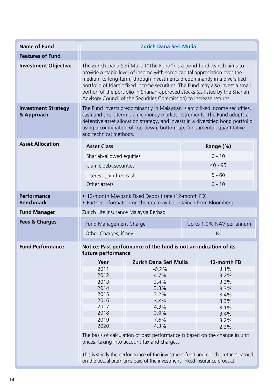| <b>Name of Fund</b>                      |                                                                                                                                                                                                                                                                                                                                                                                                                                                                        | <b>Zurich Dana Seri Mulia</b>                                                                                                                                                                                                                                                                                                                  |                                                                             |  |  |  |  |  |
|------------------------------------------|------------------------------------------------------------------------------------------------------------------------------------------------------------------------------------------------------------------------------------------------------------------------------------------------------------------------------------------------------------------------------------------------------------------------------------------------------------------------|------------------------------------------------------------------------------------------------------------------------------------------------------------------------------------------------------------------------------------------------------------------------------------------------------------------------------------------------|-----------------------------------------------------------------------------|--|--|--|--|--|
| <b>Features of Fund</b>                  |                                                                                                                                                                                                                                                                                                                                                                                                                                                                        |                                                                                                                                                                                                                                                                                                                                                |                                                                             |  |  |  |  |  |
| <b>Investment Objective</b>              | The Zurich Dana Seri Mulia ("The Fund") is a bond fund, which aims to<br>provide a stable level of income with some capital appreciation over the<br>medium to long-term, through investments predominantly in a diversified<br>portfolio of Islamic fixed income securities. The Fund may also invest a small<br>portion of the portfolio in Shariah-approved stocks (as listed by the Shariah<br>Advisory Council of the Securities Commission) to increase returns. |                                                                                                                                                                                                                                                                                                                                                |                                                                             |  |  |  |  |  |
| <b>Investment Strategy</b><br>& Approach |                                                                                                                                                                                                                                                                                                                                                                                                                                                                        | The Fund invests predominantly in Malaysian Islamic fixed income securities,<br>cash and short-term Islamic money market instruments. The Fund adopts a<br>defensive asset allocation strategy, and invests in a diversified bond portfolio<br>using a combination of top-down, bottom-up, fundamental, quantitative<br>and technical methods. |                                                                             |  |  |  |  |  |
| <b>Asset Allocation</b>                  | <b>Asset Class</b>                                                                                                                                                                                                                                                                                                                                                                                                                                                     |                                                                                                                                                                                                                                                                                                                                                | Range (%)                                                                   |  |  |  |  |  |
|                                          | Shariah-allowed equities                                                                                                                                                                                                                                                                                                                                                                                                                                               |                                                                                                                                                                                                                                                                                                                                                | $0 - 10$                                                                    |  |  |  |  |  |
|                                          | Islamic debt securities                                                                                                                                                                                                                                                                                                                                                                                                                                                |                                                                                                                                                                                                                                                                                                                                                | $40 - 95$                                                                   |  |  |  |  |  |
|                                          | Interest-gain free cash                                                                                                                                                                                                                                                                                                                                                                                                                                                |                                                                                                                                                                                                                                                                                                                                                | $5 - 60$                                                                    |  |  |  |  |  |
|                                          | Other assets                                                                                                                                                                                                                                                                                                                                                                                                                                                           |                                                                                                                                                                                                                                                                                                                                                | $0 - 10$                                                                    |  |  |  |  |  |
|                                          |                                                                                                                                                                                                                                                                                                                                                                                                                                                                        |                                                                                                                                                                                                                                                                                                                                                |                                                                             |  |  |  |  |  |
| Performance<br><b>Benchmark</b>          |                                                                                                                                                                                                                                                                                                                                                                                                                                                                        | • 12-month Maybank Fixed Deposit rate (12-month FD)<br>• Further information on the rate may be obtained from Bloomberg                                                                                                                                                                                                                        |                                                                             |  |  |  |  |  |
| <b>Fund Manager</b>                      | Zurich Life Insurance Malaysia Berhad                                                                                                                                                                                                                                                                                                                                                                                                                                  |                                                                                                                                                                                                                                                                                                                                                |                                                                             |  |  |  |  |  |
| <b>Fees &amp; Charges</b>                | Fund Management Charge                                                                                                                                                                                                                                                                                                                                                                                                                                                 |                                                                                                                                                                                                                                                                                                                                                | Up to 1.0% NAV per annum                                                    |  |  |  |  |  |
|                                          | Other Charges, if any                                                                                                                                                                                                                                                                                                                                                                                                                                                  |                                                                                                                                                                                                                                                                                                                                                | Nil                                                                         |  |  |  |  |  |
| <b>Fund Performance</b>                  | future performance                                                                                                                                                                                                                                                                                                                                                                                                                                                     | Notice: Past performance of the fund is not an indication of its                                                                                                                                                                                                                                                                               |                                                                             |  |  |  |  |  |
|                                          | Year                                                                                                                                                                                                                                                                                                                                                                                                                                                                   | Zurich Dana Seri Mulia                                                                                                                                                                                                                                                                                                                         | 12-month FD                                                                 |  |  |  |  |  |
|                                          | 2011                                                                                                                                                                                                                                                                                                                                                                                                                                                                   | $-0.2%$                                                                                                                                                                                                                                                                                                                                        | 3.1%                                                                        |  |  |  |  |  |
|                                          | 2012                                                                                                                                                                                                                                                                                                                                                                                                                                                                   | 4.7%                                                                                                                                                                                                                                                                                                                                           | 3.2%                                                                        |  |  |  |  |  |
|                                          | 2013                                                                                                                                                                                                                                                                                                                                                                                                                                                                   | 3.4%                                                                                                                                                                                                                                                                                                                                           | 3.2%                                                                        |  |  |  |  |  |
|                                          | 2014<br>2015                                                                                                                                                                                                                                                                                                                                                                                                                                                           | 3.3%<br>3.2%                                                                                                                                                                                                                                                                                                                                   | 3.3%<br>3.4%                                                                |  |  |  |  |  |
|                                          | 2016                                                                                                                                                                                                                                                                                                                                                                                                                                                                   | 3.8%                                                                                                                                                                                                                                                                                                                                           | 3.3%                                                                        |  |  |  |  |  |
|                                          | 2017                                                                                                                                                                                                                                                                                                                                                                                                                                                                   | 4.3%                                                                                                                                                                                                                                                                                                                                           | 3.1%                                                                        |  |  |  |  |  |
|                                          | 2018                                                                                                                                                                                                                                                                                                                                                                                                                                                                   | 3.9%                                                                                                                                                                                                                                                                                                                                           | 3.4%                                                                        |  |  |  |  |  |
|                                          | 2019                                                                                                                                                                                                                                                                                                                                                                                                                                                                   | 7.6%                                                                                                                                                                                                                                                                                                                                           | 3.2%                                                                        |  |  |  |  |  |
|                                          | 2020                                                                                                                                                                                                                                                                                                                                                                                                                                                                   | 4.3%                                                                                                                                                                                                                                                                                                                                           | 2.2%                                                                        |  |  |  |  |  |
|                                          |                                                                                                                                                                                                                                                                                                                                                                                                                                                                        | prices, taking into account tax and charges.                                                                                                                                                                                                                                                                                                   | The basis of calculation of past performance is based on the change in unit |  |  |  |  |  |
|                                          |                                                                                                                                                                                                                                                                                                                                                                                                                                                                        | This is strictly the performance of the investment fund and not the returns earned<br>on the actual premiums paid of the investment-linked insurance product.                                                                                                                                                                                  |                                                                             |  |  |  |  |  |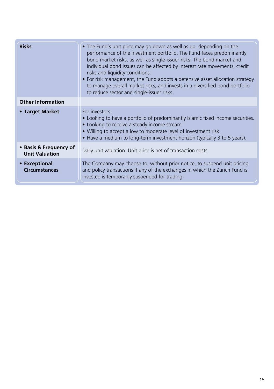| <b>Risks</b>                                    | • The Fund's unit price may go down as well as up, depending on the<br>performance of the investment portfolio. The Fund faces predominantly<br>bond market risks, as well as single-issuer risks. The bond market and<br>individual bond issues can be affected by interest rate movements, credit<br>risks and liquidity conditions.<br>• For risk management, the Fund adopts a defensive asset allocation strategy<br>to manage overall market risks, and invests in a diversified bond portfolio<br>to reduce sector and single-issuer risks. |
|-------------------------------------------------|----------------------------------------------------------------------------------------------------------------------------------------------------------------------------------------------------------------------------------------------------------------------------------------------------------------------------------------------------------------------------------------------------------------------------------------------------------------------------------------------------------------------------------------------------|
| <b>Other Information</b>                        |                                                                                                                                                                                                                                                                                                                                                                                                                                                                                                                                                    |
| • Target Market                                 | For investors:<br>• Looking to have a portfolio of predominantly Islamic fixed income securities.<br>• Looking to receive a steady income stream.<br>• Willing to accept a low to moderate level of investment risk.<br>• Have a medium to long-term investment horizon (typically 3 to 5 years).                                                                                                                                                                                                                                                  |
| • Basis & Frequency of<br><b>Unit Valuation</b> | Daily unit valuation. Unit price is net of transaction costs.                                                                                                                                                                                                                                                                                                                                                                                                                                                                                      |
| • Exceptional<br><b>Circumstances</b>           | The Company may choose to, without prior notice, to suspend unit pricing<br>and policy transactions if any of the exchanges in which the Zurich Fund is<br>invested is temporarily suspended for trading.                                                                                                                                                                                                                                                                                                                                          |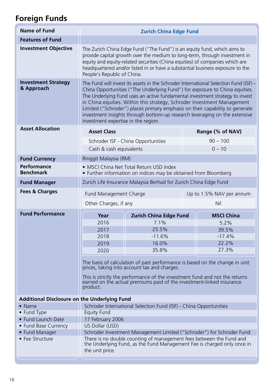## **Foreign Funds**

| <b>Name of Fund</b>                          |                                                                                                                                                                                                                                                                                                                                                        | <b>Zurich China Edge Fund</b>                                                                                                                                                                                                                                                                                                                                                                                                                                                                                                       |     |                          |  |  |  |
|----------------------------------------------|--------------------------------------------------------------------------------------------------------------------------------------------------------------------------------------------------------------------------------------------------------------------------------------------------------------------------------------------------------|-------------------------------------------------------------------------------------------------------------------------------------------------------------------------------------------------------------------------------------------------------------------------------------------------------------------------------------------------------------------------------------------------------------------------------------------------------------------------------------------------------------------------------------|-----|--------------------------|--|--|--|
| <b>Features of Fund</b>                      |                                                                                                                                                                                                                                                                                                                                                        |                                                                                                                                                                                                                                                                                                                                                                                                                                                                                                                                     |     |                          |  |  |  |
| <b>Investment Objective</b>                  | The Zurich China Edge Fund ("The Fund") is an equity fund, which aims to<br>provide capital growth over the medium to long-term, through investment in<br>equity and equity-related securities (China equities) of companies which are<br>headquartered and/or listed in or have a substantial business exposure to the<br>People's Republic of China. |                                                                                                                                                                                                                                                                                                                                                                                                                                                                                                                                     |     |                          |  |  |  |
| <b>Investment Strategy</b><br>& Approach     |                                                                                                                                                                                                                                                                                                                                                        | The Fund will invest its assets in the Schroder International Selection Fund (ISF) -<br>China Opportunities ("The Underlying Fund") for exposure to China equities.<br>The Underlying Fund uses an active fundamental investment strategy to invest<br>in China equities. Within this strategy, Schroder Investment Management<br>Limited ("Schroder") places primary emphasis on their capability to generate<br>investment insights through bottom-up research leveraging on the extensive<br>investment expertise in the region. |     |                          |  |  |  |
| <b>Asset Allocation</b>                      | <b>Asset Class</b>                                                                                                                                                                                                                                                                                                                                     |                                                                                                                                                                                                                                                                                                                                                                                                                                                                                                                                     |     | Range (% of NAV)         |  |  |  |
|                                              |                                                                                                                                                                                                                                                                                                                                                        | Schroder ISF - China Opportunities                                                                                                                                                                                                                                                                                                                                                                                                                                                                                                  |     | $90 - 100$               |  |  |  |
|                                              | Cash & cash equivalents                                                                                                                                                                                                                                                                                                                                |                                                                                                                                                                                                                                                                                                                                                                                                                                                                                                                                     |     | $0 - 10$                 |  |  |  |
| <b>Fund Currency</b>                         | Ringgit Malaysia (RM)                                                                                                                                                                                                                                                                                                                                  |                                                                                                                                                                                                                                                                                                                                                                                                                                                                                                                                     |     |                          |  |  |  |
| Performance                                  |                                                                                                                                                                                                                                                                                                                                                        | • MSCI China Net Total Return USD Index                                                                                                                                                                                                                                                                                                                                                                                                                                                                                             |     |                          |  |  |  |
| <b>Benchmark</b>                             |                                                                                                                                                                                                                                                                                                                                                        | • Further information on indices may be obtained from Bloomberg                                                                                                                                                                                                                                                                                                                                                                                                                                                                     |     |                          |  |  |  |
| <b>Fund Manager</b>                          |                                                                                                                                                                                                                                                                                                                                                        | Zurich Life Insurance Malaysia Berhad for Zurich China Edge Fund                                                                                                                                                                                                                                                                                                                                                                                                                                                                    |     |                          |  |  |  |
| <b>Fees &amp; Charges</b>                    | Fund Management Charge                                                                                                                                                                                                                                                                                                                                 |                                                                                                                                                                                                                                                                                                                                                                                                                                                                                                                                     |     | Up to 1.5% NAV per annum |  |  |  |
|                                              | Other Charges, if any                                                                                                                                                                                                                                                                                                                                  |                                                                                                                                                                                                                                                                                                                                                                                                                                                                                                                                     | Nil |                          |  |  |  |
| <b>Fund Performance</b>                      | Year                                                                                                                                                                                                                                                                                                                                                   | <b>Zurich China Edge Fund</b>                                                                                                                                                                                                                                                                                                                                                                                                                                                                                                       |     | <b>MSCI China</b>        |  |  |  |
|                                              | 2016                                                                                                                                                                                                                                                                                                                                                   | 7.1%                                                                                                                                                                                                                                                                                                                                                                                                                                                                                                                                |     | 5.2%                     |  |  |  |
|                                              | 2017                                                                                                                                                                                                                                                                                                                                                   | 25.5%                                                                                                                                                                                                                                                                                                                                                                                                                                                                                                                               |     | 39.5%                    |  |  |  |
|                                              | 2018                                                                                                                                                                                                                                                                                                                                                   | $-11.6%$                                                                                                                                                                                                                                                                                                                                                                                                                                                                                                                            |     | $-17.4%$                 |  |  |  |
|                                              | 2019                                                                                                                                                                                                                                                                                                                                                   | 16.0%                                                                                                                                                                                                                                                                                                                                                                                                                                                                                                                               |     | 22.2%                    |  |  |  |
|                                              | 2020                                                                                                                                                                                                                                                                                                                                                   | 35.8%                                                                                                                                                                                                                                                                                                                                                                                                                                                                                                                               |     | 27.3%                    |  |  |  |
|                                              | The basis of calculation of past performance is based on the change in unit<br>prices, taking into account tax and charges.<br>This is strictly the performance of the investment fund and not the returns<br>earned on the actual premiums paid of the investment-linked insurance<br>product.                                                        |                                                                                                                                                                                                                                                                                                                                                                                                                                                                                                                                     |     |                          |  |  |  |
| Additional Disclosure on the Underlying Fund |                                                                                                                                                                                                                                                                                                                                                        |                                                                                                                                                                                                                                                                                                                                                                                                                                                                                                                                     |     |                          |  |  |  |
| $\bullet$ Name                               |                                                                                                                                                                                                                                                                                                                                                        | Schroder International Selection Fund (ISF) - China Opportunities                                                                                                                                                                                                                                                                                                                                                                                                                                                                   |     |                          |  |  |  |
| • Fund Type                                  | <b>Equity Fund</b>                                                                                                                                                                                                                                                                                                                                     |                                                                                                                                                                                                                                                                                                                                                                                                                                                                                                                                     |     |                          |  |  |  |
| • Fund Launch Date                           | 17 February 2006                                                                                                                                                                                                                                                                                                                                       |                                                                                                                                                                                                                                                                                                                                                                                                                                                                                                                                     |     |                          |  |  |  |
| • Fund Base Currency                         | US Dollar (USD)                                                                                                                                                                                                                                                                                                                                        |                                                                                                                                                                                                                                                                                                                                                                                                                                                                                                                                     |     |                          |  |  |  |
| • Fund Manager                               |                                                                                                                                                                                                                                                                                                                                                        | Schroder Investment Management Limited ("Schroder") for Schroder Fund                                                                                                                                                                                                                                                                                                                                                                                                                                                               |     |                          |  |  |  |
| • Fee Structure                              | the unit price.                                                                                                                                                                                                                                                                                                                                        | There is no double counting of management fees between the Fund and<br>the Underlying Fund, as the Fund Management Fee is charged only once in                                                                                                                                                                                                                                                                                                                                                                                      |     |                          |  |  |  |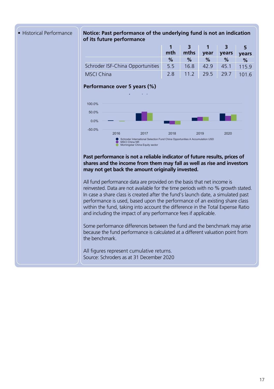#### **Target** 2.8 11.2 29.5 29.5 29.7 101.6 108.3 • Historical Performance **Notice: Past performance of the underlying fund is not an indication of its future performance**

**Share class (Net)** 5.5 16.8 42.9 42.9 45.1 115.9 124.6

|                                  |          |                          | and the se |       |               |
|----------------------------------|----------|--------------------------|------------|-------|---------------|
|                                  | mth      | mths                     | vear       | vears | vears         |
|                                  | %        | %                        | $\%$       | $\%$  | $\frac{9}{6}$ |
| Schroder ISF-China Opportunities | $-5.5 -$ | 16.8                     | 42.9       | 45.1  | 1159          |
| <b>MSCI China</b>                |          | 2.8 11.2 29.5 29.7 101.6 |            |       |               |

## **Performance over 5 years (%)**



#### Past performance is not a reliable indicator of future results, prices of shares and the income from them may fall as well as rise and investors **may not get back the amount originally invested. may cause the value of any overseas investments to rise or fall.**  $S_{\rm eff}$

All fund performance data are provided on the basis that net income is reinvested. Data are not available for the time periods with no % growth stated. In case a share class is created after the fund's launch date, a simulated past performance is used, based upon the performance of an existing share class within the fund, taking into account the difference in the Total Expense Ratio and including the impact of any performance fees if applicable.

Some performance differences between the fund and the benchmark may arise because the fund performance is calculated at a different valuation point from the benchmark.

All figures represent cumulative returns. Source: Schroders as at 31 December 2020  $\mathbf{F}$ Domicile Luxembourg Fund launch date 17.02.2006 Share class launch date 17.02.2006 Fund base currency USD Share class currency USD Fund size (Million) USD 1,636.01 Number of holdings 82 Target MSCI China NR Comparator Morningstar China Equity sector Unit NAV USD 566.8371 Dealing frequency Daily Distribution frequency No Distribution

Fees & expenses Ongoing charge 1.84% Redemption fee 0.00% Purchase details

Codes

Minimum initial subscription USD 1,000

Ratings and accreditation

section for the disclosure.

ISIN LU0244354667 Bloomberg SCHCHOA LX SEDOL B0YQ0N6 Reuters code LU0244354667.LUF

Please refer to the Important information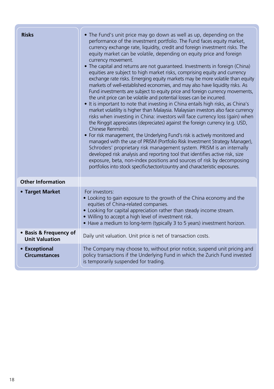| <b>Risks</b>                                    | • The Fund's unit price may go down as well as up, depending on the<br>performance of the investment portfolio. The Fund faces equity market,<br>currency exchange rate, liquidity, credit and foreign investment risks. The<br>equity market can be volatile, depending on equity price and foreign<br>currency movement.<br>• The capital and returns are not guaranteed. Investments in foreign (China)<br>equities are subject to high market risks, comprising equity and currency<br>exchange rate risks. Emerging equity markets may be more volatile than equity<br>markets of well-established economies, and may also have liquidity risks. As<br>Fund investments are subject to equity price and foreign currency movements,<br>the unit price can be volatile and potential losses can be incurred.<br>• It is important to note that investing in China entails high risks, as China's<br>market volatility is higher than Malaysia. Malaysian investors also face currency<br>risks when investing in China: investors will face currency loss (gain) when<br>the Ringgit appreciates (depreciates) against the foreign currency (e.g. USD,<br>Chinese Renminbi).<br>• For risk management, the Underlying Fund's risk is actively monitored and<br>managed with the use of PRISM (Portfolio Risk Investment Strategy Manager),<br>Schroders' proprietary risk management system. PRISM is an internally<br>developed risk analysis and reporting tool that identifies active risk, size<br>exposure, beta, non-index positions and sources of risk by decomposing<br>portfolios into stock specific/sector/country and characteristic exposures. |
|-------------------------------------------------|------------------------------------------------------------------------------------------------------------------------------------------------------------------------------------------------------------------------------------------------------------------------------------------------------------------------------------------------------------------------------------------------------------------------------------------------------------------------------------------------------------------------------------------------------------------------------------------------------------------------------------------------------------------------------------------------------------------------------------------------------------------------------------------------------------------------------------------------------------------------------------------------------------------------------------------------------------------------------------------------------------------------------------------------------------------------------------------------------------------------------------------------------------------------------------------------------------------------------------------------------------------------------------------------------------------------------------------------------------------------------------------------------------------------------------------------------------------------------------------------------------------------------------------------------------------------------------------------------------------------------------------------------------------|
| <b>Other Information</b>                        |                                                                                                                                                                                                                                                                                                                                                                                                                                                                                                                                                                                                                                                                                                                                                                                                                                                                                                                                                                                                                                                                                                                                                                                                                                                                                                                                                                                                                                                                                                                                                                                                                                                                  |
| • Target Market                                 | For investors:<br>• Looking to gain exposure to the growth of the China economy and the<br>equities of China-related companies.<br>• Looking for capital appreciation rather than steady income stream.<br>• Willing to accept a high level of investment risk.<br>• Have a medium to long-term (typically 3 to 5 years) investment horizon.                                                                                                                                                                                                                                                                                                                                                                                                                                                                                                                                                                                                                                                                                                                                                                                                                                                                                                                                                                                                                                                                                                                                                                                                                                                                                                                     |
| • Basis & Frequency of<br><b>Unit Valuation</b> | Daily unit valuation. Unit price is net of transaction costs.                                                                                                                                                                                                                                                                                                                                                                                                                                                                                                                                                                                                                                                                                                                                                                                                                                                                                                                                                                                                                                                                                                                                                                                                                                                                                                                                                                                                                                                                                                                                                                                                    |
| • Exceptional<br><b>Circumstances</b>           | The Company may choose to, without prior notice, suspend unit pricing and<br>policy transactions if the Underlying Fund in which the Zurich Fund invested<br>is temporarily suspended for trading.                                                                                                                                                                                                                                                                                                                                                                                                                                                                                                                                                                                                                                                                                                                                                                                                                                                                                                                                                                                                                                                                                                                                                                                                                                                                                                                                                                                                                                                               |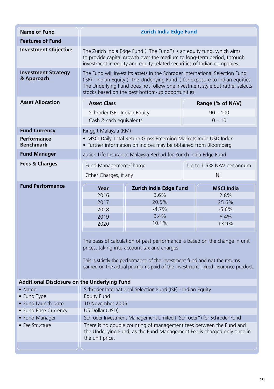| <b>Name of Fund</b>                          | <b>Zurich India Edge Fund</b>                                                                                                                                                                                                                                                                      |                                                                                                                                                                                                                                                                                              |  |                          |  |  |
|----------------------------------------------|----------------------------------------------------------------------------------------------------------------------------------------------------------------------------------------------------------------------------------------------------------------------------------------------------|----------------------------------------------------------------------------------------------------------------------------------------------------------------------------------------------------------------------------------------------------------------------------------------------|--|--------------------------|--|--|
| <b>Features of Fund</b>                      |                                                                                                                                                                                                                                                                                                    |                                                                                                                                                                                                                                                                                              |  |                          |  |  |
| <b>Investment Objective</b>                  | The Zurich India Edge Fund ("The Fund") is an equity fund, which aims<br>to provide capital growth over the medium to long-term period, through<br>investment in equity and equity-related securities of Indian companies.                                                                         |                                                                                                                                                                                                                                                                                              |  |                          |  |  |
| <b>Investment Strategy</b><br>& Approach     | The Fund will invest its assets in the Schroder International Selection Fund<br>(ISF) - Indian Equity ("The Underlying Fund") for exposure to Indian equities.<br>The Underlying Fund does not follow one investment style but rather selects<br>stocks based on the best bottom-up opportunities. |                                                                                                                                                                                                                                                                                              |  |                          |  |  |
| <b>Asset Allocation</b>                      | <b>Asset Class</b>                                                                                                                                                                                                                                                                                 |                                                                                                                                                                                                                                                                                              |  | Range (% of NAV)         |  |  |
|                                              | Schroder ISF - Indian Equity                                                                                                                                                                                                                                                                       |                                                                                                                                                                                                                                                                                              |  | $90 - 100$               |  |  |
|                                              | Cash & cash equivalents                                                                                                                                                                                                                                                                            |                                                                                                                                                                                                                                                                                              |  | $0 - 10$                 |  |  |
| <b>Fund Currency</b>                         | Ringgit Malaysia (RM)                                                                                                                                                                                                                                                                              |                                                                                                                                                                                                                                                                                              |  |                          |  |  |
| Performance<br><b>Benchmark</b>              |                                                                                                                                                                                                                                                                                                    | · MSCI Daily Total Return Gross Emerging Markets India USD Index<br>• Further information on indices may be obtained from Bloomberg                                                                                                                                                          |  |                          |  |  |
| <b>Fund Manager</b>                          |                                                                                                                                                                                                                                                                                                    | Zurich Life Insurance Malaysia Berhad for Zurich India Edge Fund                                                                                                                                                                                                                             |  |                          |  |  |
| <b>Fees &amp; Charges</b>                    | Fund Management Charge                                                                                                                                                                                                                                                                             |                                                                                                                                                                                                                                                                                              |  | Up to 1.5% NAV per annum |  |  |
|                                              | Other Charges, if any                                                                                                                                                                                                                                                                              |                                                                                                                                                                                                                                                                                              |  | Nil                      |  |  |
| <b>Fund Performance</b>                      | Year                                                                                                                                                                                                                                                                                               | Zurich India Edge Fund                                                                                                                                                                                                                                                                       |  | <b>MSCI India</b>        |  |  |
|                                              |                                                                                                                                                                                                                                                                                                    | 3.6%                                                                                                                                                                                                                                                                                         |  |                          |  |  |
|                                              | 2016                                                                                                                                                                                                                                                                                               |                                                                                                                                                                                                                                                                                              |  | 28%                      |  |  |
|                                              | 2017                                                                                                                                                                                                                                                                                               | 20.5%                                                                                                                                                                                                                                                                                        |  | 25.6%                    |  |  |
|                                              | 2018                                                                                                                                                                                                                                                                                               | $-4.7%$                                                                                                                                                                                                                                                                                      |  | $-5.6%$                  |  |  |
|                                              | 2019                                                                                                                                                                                                                                                                                               | 3.4%                                                                                                                                                                                                                                                                                         |  | 6.4%                     |  |  |
|                                              | 2020                                                                                                                                                                                                                                                                                               | 10.1%                                                                                                                                                                                                                                                                                        |  | 13.9%                    |  |  |
|                                              |                                                                                                                                                                                                                                                                                                    | The basis of calculation of past performance is based on the change in unit<br>prices, taking into account tax and charges.<br>This is strictly the performance of the investment fund and not the returns<br>earned on the actual premiums paid of the investment-linked insurance product. |  |                          |  |  |
| Additional Disclosure on the Underlying Fund |                                                                                                                                                                                                                                                                                                    |                                                                                                                                                                                                                                                                                              |  |                          |  |  |
| • Name                                       |                                                                                                                                                                                                                                                                                                    | Schroder International Selection Fund (ISF) - Indian Equity                                                                                                                                                                                                                                  |  |                          |  |  |
| • Fund Type                                  | <b>Equity Fund</b>                                                                                                                                                                                                                                                                                 |                                                                                                                                                                                                                                                                                              |  |                          |  |  |
| • Fund Launch Date                           | 10 November 2006                                                                                                                                                                                                                                                                                   |                                                                                                                                                                                                                                                                                              |  |                          |  |  |
| • Fund Base Currency                         | US Dollar (USD)                                                                                                                                                                                                                                                                                    |                                                                                                                                                                                                                                                                                              |  |                          |  |  |
| • Fund Manager                               |                                                                                                                                                                                                                                                                                                    | Schroder Investment Management Limited ("Schroder") for Schroder Fund                                                                                                                                                                                                                        |  |                          |  |  |
| • Fee Structure                              | the unit price.                                                                                                                                                                                                                                                                                    | There is no double counting of management fees between the Fund and<br>the Underlying Fund, as the Fund Management Fee is charged only once in                                                                                                                                               |  |                          |  |  |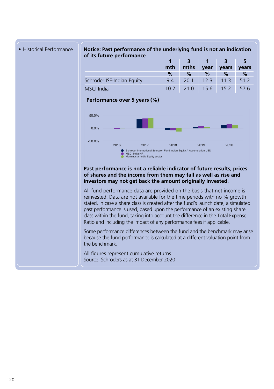

**• Historical Performance Notice: Past performance of the underlying fund is not an indication** of its future performance **Algebra 1996** Calendar year performance

Fund management company Schroder Investment Management (Europe) S.A. Domicile Luxembourg Fund launch date 10.11.2006 Share class launch date 10.11.2006 Fund base currency USD Share class currency USD Fund size (Million) USD 372.54 Number of holdings 39 Target MSCI India NR Comparator Morningstar India Equity sector Unit NAV USD 235.7476 Dealing frequency Daily Distribution frequency No Distribution

Fees & expenses Ongoing charge 1.88% Redemption fee 0.00% Purchase details

Codes

Minimum initial subscription USD 1,000

Ratings and accreditation

section for the disclosure.

ISIN LU0264410563 Bloomberg SISINAA LX SEDOL B1VMKH8 Reuters code LU0264410563.LUF

Please refer to the Important information

|                            |      |                          | 311  |             |       |
|----------------------------|------|--------------------------|------|-------------|-------|
|                            | mth  | mths                     | vear | years       | years |
|                            | $\%$ | $\%$                     | %    | $\%$        | $\%$  |
| Schroder ISF-Indian Equity | 94   | 20.1                     |      | $12.3$ 11.3 | 51.2  |
| <b>MSCI</b> India          |      | 10.2 21.0 15.6 15.2 57.6 |      |             |       |
| <b>B.</b> F. <b>F</b> 70/1 |      |                          |      |             |       |

#### **Performance over 5 years (%)** Performance over 5 years (%)



#### Past performance is not a reliable indicator of future results, prices of shares and the income from them may fall as well as rise and **investors may not get back the amount originally invested. may cause the value of any overseas investments to rise or fall.**

All fund performance data are provided on the basis that net income is reinvested. Data are not available for the time periods with no % growth stated. In case a share class is created after the fund's launch date, a simulated past performance is used, based upon the performance of an existing share class within the fund, taking into account the difference in the Total Expense Ratio and including the impact of any performance fees if applicable.

Some performance differences between the fund and the benchmark may arise because the fund performance is calculated at a different valuation point from the benchmark.

All figures represent cumulative returns. Source: Schroders as at 31 December 2020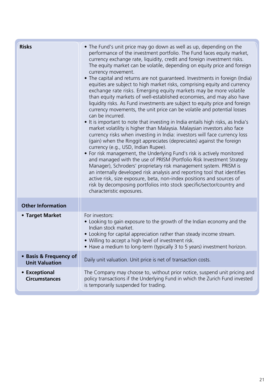| <b>Risks</b>                                    | • The Fund's unit price may go down as well as up, depending on the<br>performance of the investment portfolio. The Fund faces equity market,<br>currency exchange rate, liquidity, credit and foreign investment risks.<br>The equity market can be volatile, depending on equity price and foreign<br>currency movement.<br>• The capital and returns are not guaranteed. Investments in foreign (India)<br>equities are subject to high market risks, comprising equity and currency<br>exchange rate risks. Emerging equity markets may be more volatile<br>than equity markets of well-established economies, and may also have<br>liquidity risks. As Fund investments are subject to equity price and foreign<br>currency movements, the unit price can be volatile and potential losses<br>can be incurred.<br>• It is important to note that investing in India entails high risks, as India's<br>market volatility is higher than Malaysia. Malaysian investors also face<br>currency risks when investing in India: investors will face currency loss<br>(gain) when the Ringgit appreciates (depreciates) against the foreign<br>currency (e.g., USD, Indian Rupee).<br>• For risk management, the Underlying Fund's risk is actively monitored<br>and managed with the use of PRISM (Portfolio Risk Investment Strategy<br>Manager), Schroders' proprietary risk management system. PRISM is<br>an internally developed risk analysis and reporting tool that identifies<br>active risk, size exposure, beta, non-index positions and sources of<br>risk by decomposing portfolios into stock specific/sector/country and<br>characteristic exposures. |
|-------------------------------------------------|---------------------------------------------------------------------------------------------------------------------------------------------------------------------------------------------------------------------------------------------------------------------------------------------------------------------------------------------------------------------------------------------------------------------------------------------------------------------------------------------------------------------------------------------------------------------------------------------------------------------------------------------------------------------------------------------------------------------------------------------------------------------------------------------------------------------------------------------------------------------------------------------------------------------------------------------------------------------------------------------------------------------------------------------------------------------------------------------------------------------------------------------------------------------------------------------------------------------------------------------------------------------------------------------------------------------------------------------------------------------------------------------------------------------------------------------------------------------------------------------------------------------------------------------------------------------------------------------------------------------------------------------------------------------|
| <b>Other Information</b>                        |                                                                                                                                                                                                                                                                                                                                                                                                                                                                                                                                                                                                                                                                                                                                                                                                                                                                                                                                                                                                                                                                                                                                                                                                                                                                                                                                                                                                                                                                                                                                                                                                                                                                     |
| • Target Market                                 | For investors:<br>. Looking to gain exposure to the growth of the Indian economy and the<br>Indian stock market.<br>• Looking for capital appreciation rather than steady income stream.<br>. Willing to accept a high level of investment risk.<br>• Have a medium to long-term (typically 3 to 5 years) investment horizon.                                                                                                                                                                                                                                                                                                                                                                                                                                                                                                                                                                                                                                                                                                                                                                                                                                                                                                                                                                                                                                                                                                                                                                                                                                                                                                                                       |
| • Basis & Frequency of<br><b>Unit Valuation</b> | Daily unit valuation. Unit price is net of transaction costs.                                                                                                                                                                                                                                                                                                                                                                                                                                                                                                                                                                                                                                                                                                                                                                                                                                                                                                                                                                                                                                                                                                                                                                                                                                                                                                                                                                                                                                                                                                                                                                                                       |
| • Exceptional<br><b>Circumstances</b>           | The Company may choose to, without prior notice, suspend unit pricing and<br>policy transactions if the Underlying Fund in which the Zurich Fund invested<br>is temporarily suspended for trading.                                                                                                                                                                                                                                                                                                                                                                                                                                                                                                                                                                                                                                                                                                                                                                                                                                                                                                                                                                                                                                                                                                                                                                                                                                                                                                                                                                                                                                                                  |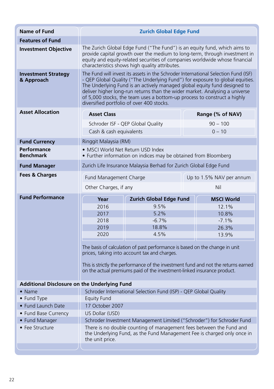| <b>Name of Fund</b>                                 | <b>Zurich Global Edge Fund</b>                                                                                                                                                                                                                                                                                                                                                                                                                           |                                                                                                                                                                                                        |                                                                                                                                                |  |  |  |
|-----------------------------------------------------|----------------------------------------------------------------------------------------------------------------------------------------------------------------------------------------------------------------------------------------------------------------------------------------------------------------------------------------------------------------------------------------------------------------------------------------------------------|--------------------------------------------------------------------------------------------------------------------------------------------------------------------------------------------------------|------------------------------------------------------------------------------------------------------------------------------------------------|--|--|--|
| <b>Features of Fund</b>                             |                                                                                                                                                                                                                                                                                                                                                                                                                                                          |                                                                                                                                                                                                        |                                                                                                                                                |  |  |  |
| <b>Investment Objective</b>                         | The Zurich Global Edge Fund ("The Fund") is an equity fund, which aims to<br>provide capital growth over the medium to long-term, through investment in<br>equity and equity-related securities of companies worldwide whose financial<br>characteristics shows high quality attributes.                                                                                                                                                                 |                                                                                                                                                                                                        |                                                                                                                                                |  |  |  |
| <b>Investment Strategy</b><br>& Approach            | The Fund will invest its assets in the Schroder International Selection Fund (ISF)<br>- QEP Global Quality ("The Underlying Fund") for exposure to global equities.<br>The Underlying Fund is an actively managed global equity fund designed to<br>deliver higher long-run returns than the wider market. Analysing a universe<br>of 5,000 stocks, the team uses a bottom-up process to construct a highly<br>diversified portfolio of over 400 stocks. |                                                                                                                                                                                                        |                                                                                                                                                |  |  |  |
| <b>Asset Allocation</b>                             | <b>Asset Class</b>                                                                                                                                                                                                                                                                                                                                                                                                                                       |                                                                                                                                                                                                        | Range (% of NAV)                                                                                                                               |  |  |  |
|                                                     |                                                                                                                                                                                                                                                                                                                                                                                                                                                          | Schroder ISF - QEP Global Quality                                                                                                                                                                      | $90 - 100$                                                                                                                                     |  |  |  |
|                                                     | Cash & cash equivalents                                                                                                                                                                                                                                                                                                                                                                                                                                  |                                                                                                                                                                                                        | $0 - 10$                                                                                                                                       |  |  |  |
| <b>Fund Currency</b>                                | Ringgit Malaysia (RM)                                                                                                                                                                                                                                                                                                                                                                                                                                    |                                                                                                                                                                                                        |                                                                                                                                                |  |  |  |
| Performance<br><b>Benchmark</b>                     | • MSCI World Net Return USD Index                                                                                                                                                                                                                                                                                                                                                                                                                        | • Further information on indices may be obtained from Bloomberg                                                                                                                                        |                                                                                                                                                |  |  |  |
| <b>Fund Manager</b>                                 |                                                                                                                                                                                                                                                                                                                                                                                                                                                          | Zurich Life Insurance Malaysia Berhad for Zurich Global Edge Fund                                                                                                                                      |                                                                                                                                                |  |  |  |
| <b>Fees &amp; Charges</b>                           | Fund Management Charge                                                                                                                                                                                                                                                                                                                                                                                                                                   |                                                                                                                                                                                                        | Up to 1.5% NAV per annum                                                                                                                       |  |  |  |
|                                                     | Other Charges, if any<br>Nil                                                                                                                                                                                                                                                                                                                                                                                                                             |                                                                                                                                                                                                        |                                                                                                                                                |  |  |  |
|                                                     |                                                                                                                                                                                                                                                                                                                                                                                                                                                          |                                                                                                                                                                                                        |                                                                                                                                                |  |  |  |
| <b>Fund Performance</b>                             | Year                                                                                                                                                                                                                                                                                                                                                                                                                                                     | <b>Zurich Global Edge Fund</b>                                                                                                                                                                         | <b>MSCI World</b>                                                                                                                              |  |  |  |
|                                                     | 2016                                                                                                                                                                                                                                                                                                                                                                                                                                                     | 9.5%                                                                                                                                                                                                   | 12.1%                                                                                                                                          |  |  |  |
|                                                     | 2017                                                                                                                                                                                                                                                                                                                                                                                                                                                     | 5.2%                                                                                                                                                                                                   | 10.8%                                                                                                                                          |  |  |  |
|                                                     | 2018                                                                                                                                                                                                                                                                                                                                                                                                                                                     | $-6.7%$                                                                                                                                                                                                | $-7.1%$                                                                                                                                        |  |  |  |
|                                                     | 2019                                                                                                                                                                                                                                                                                                                                                                                                                                                     | 18.8%                                                                                                                                                                                                  | 26.3%                                                                                                                                          |  |  |  |
|                                                     | 2020                                                                                                                                                                                                                                                                                                                                                                                                                                                     | 4.5%                                                                                                                                                                                                   | 13.9%                                                                                                                                          |  |  |  |
|                                                     |                                                                                                                                                                                                                                                                                                                                                                                                                                                          | The basis of calculation of past performance is based on the change in unit<br>prices, taking into account tax and charges.<br>on the actual premiums paid of the investment-linked insurance product. | This is strictly the performance of the investment fund and not the returns earned                                                             |  |  |  |
|                                                     |                                                                                                                                                                                                                                                                                                                                                                                                                                                          |                                                                                                                                                                                                        |                                                                                                                                                |  |  |  |
| <b>Additional Disclosure on the Underlying Fund</b> |                                                                                                                                                                                                                                                                                                                                                                                                                                                          |                                                                                                                                                                                                        |                                                                                                                                                |  |  |  |
| $\bullet$ Name                                      |                                                                                                                                                                                                                                                                                                                                                                                                                                                          | Schroder International Selection Fund (ISP) - QEP Global Quality                                                                                                                                       |                                                                                                                                                |  |  |  |
| • Fund Type                                         | Equity Fund                                                                                                                                                                                                                                                                                                                                                                                                                                              |                                                                                                                                                                                                        |                                                                                                                                                |  |  |  |
| • Fund Launch Date                                  | 17 October 2007                                                                                                                                                                                                                                                                                                                                                                                                                                          |                                                                                                                                                                                                        |                                                                                                                                                |  |  |  |
| • Fund Base Currency                                | US Dollar (USD)                                                                                                                                                                                                                                                                                                                                                                                                                                          |                                                                                                                                                                                                        |                                                                                                                                                |  |  |  |
| • Fund Manager                                      |                                                                                                                                                                                                                                                                                                                                                                                                                                                          |                                                                                                                                                                                                        | Schroder Investment Management Limited ("Schroder") for Schroder Fund                                                                          |  |  |  |
| • Fee Structure                                     | the unit price.                                                                                                                                                                                                                                                                                                                                                                                                                                          |                                                                                                                                                                                                        | There is no double counting of management fees between the Fund and<br>the Underlying Fund, as the Fund Management Fee is charged only once in |  |  |  |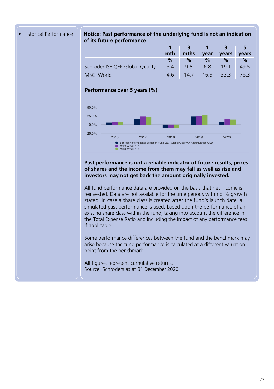#### **• Historical Performance Notice: Past performance of the underlying fund is not an indication of its future performance Comparator** 4.2 14.0 15.9 15.9 35.1 77.8 156.3

|                                 | mth | mths | vear | vears           | vears |
|---------------------------------|-----|------|------|-----------------|-------|
|                                 | %   | $\%$ | $\%$ | $\%$            | %     |
| Schroder ISF-QEP Global Quality | 3.4 | 9.5  | 6.8  | 19 <sub>1</sub> | 495   |
| <b>MSCI</b> World               | 46  | 14.7 | 16.3 | 33.3            | 78.3  |

### **Performance over 5 years (%)**



### Past performance is not a reliable indicator of future results, prices of shares and the income from them may fall as well as rise and investors may not get back the amount originally invested.

All fund performance data are provided on the basis that net income is reinvested. Data are not available for the time periods with no % growth stated. In case a share class is created after the fund's launch date, a simulated past performance is used, based upon the performance of an existing share class within the fund, taking into account the difference in the Total Expense Ratio and including the impact of any performance fees if applicable.

Some performance differences between the fund and the benchmark may arise because the fund performance is calculated at a different valuation point from the benchmark.

Learn more about Schroders' funds visit: **schroders.co.uk** 1

All figures represent cumulative returns. Source: Schroders as at 31 December 2020 Managed fund since 17.10.2007

Fees & expenses Ongoing charge 1.60% Redemption fee 0.00% Purchase details

Codes

\* \*\*

accreditation.

Minimum initial subscription USD 1,000

Ratings and accreditation

ISIN LU0323591593 Bloomberg SCHGQAA LX SEDOL B283189 Reuters code LU0323591593.LUF

Please refer to the Important information section for the disclosure. The above are external ratings and the internal ESG

 $\mathbb{R}$ Domicile Luxembourg Fund launch date 17.10.2007 Share class launch date 17.10.2007 Fund base currency USD Share class currency USD Fund size (Million) USD 610.51 Number of holdings 386 Target MSCI ACWI NR Comparator MSCI World NR Unit NAV USD 192.5253 Dealing frequency Daily Distribution frequency No Distribution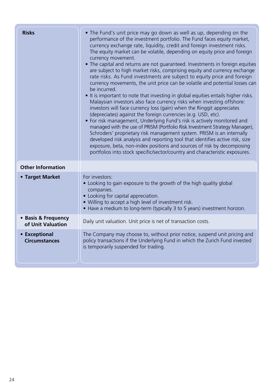| <b>Risks</b>                             | • The Fund's unit price may go down as well as up, depending on the<br>performance of the investment portfolio. The Fund faces equity market,<br>currency exchange rate, liquidity, credit and foreign investment risks.<br>The equity market can be volatile, depending on equity price and foreign<br>currency movement.<br>• The capital and returns are not guaranteed. Investments in foreign equities<br>are subject to high market risks, comprising equity and currency exchange<br>rate risks. As Fund investments are subject to equity price and foreign<br>currency movements, the unit price can be volatile and potential losses can<br>be incurred.<br>• It is important to note that investing in global equities entails higher risks.<br>Malaysian investors also face currency risks when investing offshore:<br>investors will face currency loss (gain) when the Ringgit appreciates<br>(depreciates) against the foreign currencies (e.g. USD, etc).<br>• For risk management, Underlying Fund's risk is actively monitored and<br>managed with the use of PRISM (Portfolio Risk Investment Strategy Manager),<br>Schroders' proprietary risk management system. PRISM is an internally<br>developed risk analysis and reporting tool that identifies active risk, size<br>exposure, beta, non-index positions and sources of risk by decomposing<br>portfolios into stock specific/sector/country and characteristic exposures. |
|------------------------------------------|--------------------------------------------------------------------------------------------------------------------------------------------------------------------------------------------------------------------------------------------------------------------------------------------------------------------------------------------------------------------------------------------------------------------------------------------------------------------------------------------------------------------------------------------------------------------------------------------------------------------------------------------------------------------------------------------------------------------------------------------------------------------------------------------------------------------------------------------------------------------------------------------------------------------------------------------------------------------------------------------------------------------------------------------------------------------------------------------------------------------------------------------------------------------------------------------------------------------------------------------------------------------------------------------------------------------------------------------------------------------------------------------------------------------------------------------------------|
| <b>Other Information</b>                 |                                                                                                                                                                                                                                                                                                                                                                                                                                                                                                                                                                                                                                                                                                                                                                                                                                                                                                                                                                                                                                                                                                                                                                                                                                                                                                                                                                                                                                                        |
| • Target Market                          | For investors:<br>• Looking to gain exposure to the growth of the high quality global<br>companies.<br>• Looking for capital appreciation.<br>. Willing to accept a high level of investment risk.<br>. Have a medium to long-term (typically 3 to 5 years) investment horizon.                                                                                                                                                                                                                                                                                                                                                                                                                                                                                                                                                                                                                                                                                                                                                                                                                                                                                                                                                                                                                                                                                                                                                                        |
| • Basis & Frequency<br>of Unit Valuation | Daily unit valuation. Unit price is net of transaction costs.                                                                                                                                                                                                                                                                                                                                                                                                                                                                                                                                                                                                                                                                                                                                                                                                                                                                                                                                                                                                                                                                                                                                                                                                                                                                                                                                                                                          |
| • Exceptional<br><b>Circumstances</b>    | The Company may choose to, without prior notice, suspend unit pricing and<br>policy transactions if the Underlying Fund in which the Zurich Fund invested<br>is temporarily suspended for trading.                                                                                                                                                                                                                                                                                                                                                                                                                                                                                                                                                                                                                                                                                                                                                                                                                                                                                                                                                                                                                                                                                                                                                                                                                                                     |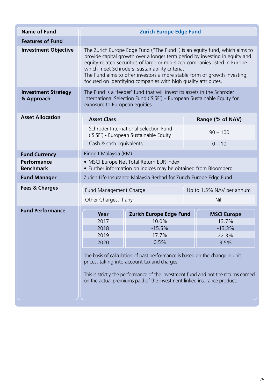| Name of Fund                             | <b>Zurich Europe Edge Fund</b>                                                                                                                                                                                                                                                                                                                                                                                                         |                                                                                                                                                    |                          |  |  |
|------------------------------------------|----------------------------------------------------------------------------------------------------------------------------------------------------------------------------------------------------------------------------------------------------------------------------------------------------------------------------------------------------------------------------------------------------------------------------------------|----------------------------------------------------------------------------------------------------------------------------------------------------|--------------------------|--|--|
| <b>Features of Fund</b>                  |                                                                                                                                                                                                                                                                                                                                                                                                                                        |                                                                                                                                                    |                          |  |  |
| <b>Investment Objective</b>              | The Zurich Europe Edge Fund ("The Fund") is an equity fund, which aims to<br>provide capital growth over a longer term period by investing in equity and<br>equity-related securities of large or mid-sized companies listed in Europe<br>which meet Schroders' sustainability criteria.<br>The Fund aims to offer investors a more stable form of growth investing,<br>focused on identifying companies with high quality attributes. |                                                                                                                                                    |                          |  |  |
| <b>Investment Strategy</b><br>& Approach | exposure to European equities.                                                                                                                                                                                                                                                                                                                                                                                                         | The Fund is a 'feeder' fund that will invest its assets in the Schroder<br>International Selection Fund ('SISF') - European Sustainable Equity for |                          |  |  |
| <b>Asset Allocation</b>                  | <b>Asset Class</b>                                                                                                                                                                                                                                                                                                                                                                                                                     |                                                                                                                                                    | Range (% of NAV)         |  |  |
|                                          |                                                                                                                                                                                                                                                                                                                                                                                                                                        | Schroder International Selection Fund<br>('SISF') - European Sustainable Equity                                                                    | $90 - 100$               |  |  |
|                                          | Cash & cash equivalents                                                                                                                                                                                                                                                                                                                                                                                                                |                                                                                                                                                    | $0 - 10$                 |  |  |
| <b>Fund Currency</b>                     | Ringgit Malaysia (RM)                                                                                                                                                                                                                                                                                                                                                                                                                  |                                                                                                                                                    |                          |  |  |
| Performance<br><b>Benchmark</b>          |                                                                                                                                                                                                                                                                                                                                                                                                                                        | · MSCI Europe Net Total Return EUR Index<br>• Further information on indices may be obtained from Bloomberg                                        |                          |  |  |
| <b>Fund Manager</b>                      |                                                                                                                                                                                                                                                                                                                                                                                                                                        | Zurich Life Insurance Malaysia Berhad for Zurich Europe Edge Fund                                                                                  |                          |  |  |
| <b>Fees &amp; Charges</b>                | Fund Management Charge                                                                                                                                                                                                                                                                                                                                                                                                                 |                                                                                                                                                    | Up to 1.5% NAV per annum |  |  |
|                                          | Other Charges, if any                                                                                                                                                                                                                                                                                                                                                                                                                  |                                                                                                                                                    | Nil                      |  |  |
| <b>Fund Performance</b>                  | Year                                                                                                                                                                                                                                                                                                                                                                                                                                   | Zurich Europe Edge Fund                                                                                                                            | <b>MSCI Europe</b>       |  |  |
|                                          | 2017                                                                                                                                                                                                                                                                                                                                                                                                                                   | 10.0%                                                                                                                                              | 13.7%                    |  |  |
|                                          | 2018                                                                                                                                                                                                                                                                                                                                                                                                                                   | $-15.5%$                                                                                                                                           | $-13.3%$                 |  |  |
|                                          | 2019                                                                                                                                                                                                                                                                                                                                                                                                                                   | 17.7%                                                                                                                                              | 22.3%                    |  |  |
|                                          | 2020                                                                                                                                                                                                                                                                                                                                                                                                                                   | 0.5%                                                                                                                                               | 3.5%                     |  |  |
|                                          | The basis of calculation of past performance is based on the change in unit<br>prices, taking into account tax and charges.<br>This is strictly the performance of the investment fund and not the returns earned<br>on the actual premiums paid of the investment-linked insurance product.                                                                                                                                           |                                                                                                                                                    |                          |  |  |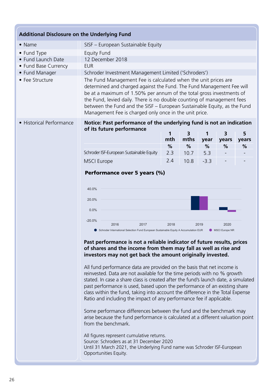| <b>Additional Disclosure on the Underlying Fund</b> |                                                                                                                                                                                                                                                                                                                                                                                                                                 |      |           |           |            |            |
|-----------------------------------------------------|---------------------------------------------------------------------------------------------------------------------------------------------------------------------------------------------------------------------------------------------------------------------------------------------------------------------------------------------------------------------------------------------------------------------------------|------|-----------|-----------|------------|------------|
| $\bullet$ Name                                      | SISF - European Sustainable Equity                                                                                                                                                                                                                                                                                                                                                                                              |      |           |           |            |            |
| • Fund Type                                         | <b>Equity Fund</b>                                                                                                                                                                                                                                                                                                                                                                                                              |      |           |           |            |            |
| • Fund Launch Date                                  | 12 December 2018                                                                                                                                                                                                                                                                                                                                                                                                                |      |           |           |            |            |
| • Fund Base Currency                                | <b>EUR</b>                                                                                                                                                                                                                                                                                                                                                                                                                      |      |           |           |            |            |
| • Fund Manager                                      | Schroder Investment Management Limited ('Schroders')                                                                                                                                                                                                                                                                                                                                                                            |      |           |           |            |            |
| • Fee Structure                                     | The Fund Management Fee is calculated when the unit prices are<br>determined and charged against the Fund. The Fund Management Fee will<br>be at a maximum of 1.50% per annum of the total gross investments of<br>the Fund, levied daily. There is no double counting of management fees<br>between the Fund and the SISF - European Sustainable Equity, as the Fund<br>Management Fee is charged only once in the unit price. |      |           |           |            |            |
| • Historical Performance                            | Notice: Past performance of the underlying fund is not an indication<br>of its future performance                                                                                                                                                                                                                                                                                                                               | mth  | 3<br>mths | 1<br>year | 3<br>years | 5<br>years |
|                                                     |                                                                                                                                                                                                                                                                                                                                                                                                                                 | $\%$ | %         | $\%$      | %          | %          |
|                                                     | Schroder ISF-European Sustainable Equity                                                                                                                                                                                                                                                                                                                                                                                        | 2.3  | 10.7      | 5.3       |            |            |
|                                                     | <b>MSCI</b> Europe                                                                                                                                                                                                                                                                                                                                                                                                              | 2.4  | 10.8      | $-3.3$    |            |            |

## Performance over 5 years (%)

MSCI Europe **Share class (Net)** - - - 26.7 5.3



2.4 10.8 -3.3 - -

Fund size (Million) EUR 31.50 Number of holdings 50

Fees & expenses Ongoing charge 1.65% Redemption fee 0.00% Purchase details

Codes

Target MSCI Europe NR Unit NAV EUR 126.9849 Dealing frequency Daily Distribution frequency No Distribution

 $\blacksquare$ 

ISIN LU1910162970 Bloomberg SISESEA LX SEDOL BG5JSX2 Reuters code LU1910162970.LUF

Please refer to the Important information section for the disclosure. The above is an

Ratings and accreditation

internal ESG accreditation.

Learn more about Schroders' funds visit: **schroders.co.uk** 1

#### Past performance is not a reliable indicator of future results, prices of shares and the income from them may fall as well as rise and **investors may not get back the amount originally invested.** Source: Morningstar, bid to bid, net income reinvested, net of fees. Some performance

past performance is used, based upon the performance of an existing share All fund performance data are provided on the basis that net income is reinvested. Data are not available for the time periods with no % growth stated. In case a share class is created after the fund's launch date, a simulated class within the fund, taking into account the difference in the Total Expense Ratio and including the impact of any performance fee if applicable.

Some performance differences between the fund and the benchmark may arise because the fund performance is calculated at a different valuation point from the benchmark.

All figures represent cumulative returns. Source: Schroders as at 31 December 2020 Until 31 March 2021, the Underlying Fund name was Schroder ISF-European Opportunities Equity.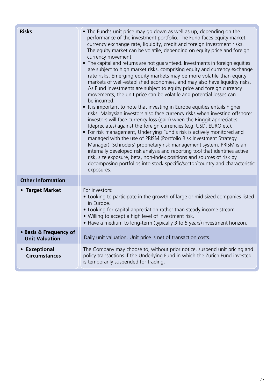| <b>Risks</b>                                    | • The Fund's unit price may go down as well as up, depending on the<br>performance of the investment portfolio. The Fund faces equity market,<br>currency exchange rate, liquidity, credit and foreign investment risks.<br>The equity market can be volatile, depending on equity price and foreign<br>currency movement.<br>• The capital and returns are not quaranteed. Investments in foreign equities<br>are subject to high market risks, comprising equity and currency exchange<br>rate risks. Emerging equity markets may be more volatile than equity<br>markets of well-established economies, and may also have liquidity risks.<br>As Fund investments are subject to equity price and foreign currency<br>movements, the unit price can be volatile and potential losses can<br>be incurred.<br>• It is important to note that investing in Europe equities entails higher<br>risks. Malaysian investors also face currency risks when investing offshore:<br>investors will face currency loss (gain) when the Ringgit appreciates<br>(depreciates) against the foreign currencies (e.g. USD, EURO etc).<br>• For risk management, Underlying Fund's risk is actively monitored and<br>managed with the use of PRISM (Portfolio Risk Investment Strategy<br>Manager), Schroders' proprietary risk management system. PRISM is an<br>internally developed risk analysis and reporting tool that identifies active<br>risk, size exposure, beta, non-index positions and sources of risk by<br>decomposing portfolios into stock specific/sector/country and characteristic<br>exposures. |
|-------------------------------------------------|---------------------------------------------------------------------------------------------------------------------------------------------------------------------------------------------------------------------------------------------------------------------------------------------------------------------------------------------------------------------------------------------------------------------------------------------------------------------------------------------------------------------------------------------------------------------------------------------------------------------------------------------------------------------------------------------------------------------------------------------------------------------------------------------------------------------------------------------------------------------------------------------------------------------------------------------------------------------------------------------------------------------------------------------------------------------------------------------------------------------------------------------------------------------------------------------------------------------------------------------------------------------------------------------------------------------------------------------------------------------------------------------------------------------------------------------------------------------------------------------------------------------------------------------------------------------------------------------------------|
| <b>Other Information</b>                        |                                                                                                                                                                                                                                                                                                                                                                                                                                                                                                                                                                                                                                                                                                                                                                                                                                                                                                                                                                                                                                                                                                                                                                                                                                                                                                                                                                                                                                                                                                                                                                                                         |
| • Target Market                                 | For investors:<br>• Looking to participate in the growth of large or mid-sized companies listed<br>in Europe.<br>• Looking for capital appreciation rather than steady income stream.<br>• Willing to accept a high level of investment risk.<br>• Have a medium to long-term (typically 3 to 5 years) investment horizon.                                                                                                                                                                                                                                                                                                                                                                                                                                                                                                                                                                                                                                                                                                                                                                                                                                                                                                                                                                                                                                                                                                                                                                                                                                                                              |
| • Basis & Frequency of<br><b>Unit Valuation</b> | Daily unit valuation. Unit price is net of transaction costs.                                                                                                                                                                                                                                                                                                                                                                                                                                                                                                                                                                                                                                                                                                                                                                                                                                                                                                                                                                                                                                                                                                                                                                                                                                                                                                                                                                                                                                                                                                                                           |
| • Exceptional<br><b>Circumstances</b>           | The Company may choose to, without prior notice, suspend unit pricing and<br>policy transactions if the Underlying Fund in which the Zurich Fund invested<br>is temporarily suspended for trading.                                                                                                                                                                                                                                                                                                                                                                                                                                                                                                                                                                                                                                                                                                                                                                                                                                                                                                                                                                                                                                                                                                                                                                                                                                                                                                                                                                                                      |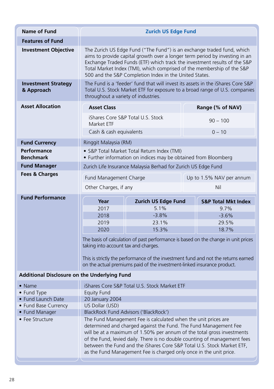| <b>Name of Fund</b>                                                                                                                                                                                              | <b>Zurich US Edge Fund</b>                                                                                                                                                                                                                                                                                                                                                                                                                |                                                                                 |                          |                                                                             |  |  |
|------------------------------------------------------------------------------------------------------------------------------------------------------------------------------------------------------------------|-------------------------------------------------------------------------------------------------------------------------------------------------------------------------------------------------------------------------------------------------------------------------------------------------------------------------------------------------------------------------------------------------------------------------------------------|---------------------------------------------------------------------------------|--------------------------|-----------------------------------------------------------------------------|--|--|
| <b>Features of Fund</b>                                                                                                                                                                                          |                                                                                                                                                                                                                                                                                                                                                                                                                                           |                                                                                 |                          |                                                                             |  |  |
| <b>Investment Objective</b>                                                                                                                                                                                      | The Zurich US Edge Fund ("The Fund") is an exchange traded fund, which<br>aims to provide capital growth over a longer term period by investing in an<br>Exchange Traded Funds (ETF) which track the investment results of the S&P<br>Total Market Index (TMI), which comprised of the membership of the S&P<br>500 and the S&P Completion Index in the United States.                                                                    |                                                                                 |                          |                                                                             |  |  |
| <b>Investment Strategy</b><br>& Approach                                                                                                                                                                         | throughout a variety of industries.                                                                                                                                                                                                                                                                                                                                                                                                       | The Fund is a 'feeder' fund that will invest its assets in the iShares Core S&P |                          | Total U.S. Stock Market ETF for exposure to a broad range of U.S. companies |  |  |
| <b>Asset Allocation</b>                                                                                                                                                                                          | <b>Asset Class</b>                                                                                                                                                                                                                                                                                                                                                                                                                        |                                                                                 |                          | Range (% of NAV)                                                            |  |  |
|                                                                                                                                                                                                                  | Market FTF                                                                                                                                                                                                                                                                                                                                                                                                                                | iShares Core S&P Total U.S. Stock                                               | $90 - 100$               |                                                                             |  |  |
|                                                                                                                                                                                                                  | Cash & cash equivalents                                                                                                                                                                                                                                                                                                                                                                                                                   |                                                                                 |                          | $0 - 10$                                                                    |  |  |
| <b>Fund Currency</b>                                                                                                                                                                                             | Ringgit Malaysia (RM)                                                                                                                                                                                                                                                                                                                                                                                                                     |                                                                                 |                          |                                                                             |  |  |
| Performance<br><b>Benchmark</b>                                                                                                                                                                                  | • S&P Total Market Total Return Index (TMI)<br>• Further information on indices may be obtained from Bloomberg                                                                                                                                                                                                                                                                                                                            |                                                                                 |                          |                                                                             |  |  |
| <b>Fund Manager</b>                                                                                                                                                                                              |                                                                                                                                                                                                                                                                                                                                                                                                                                           | Zurich Life Insurance Malaysia Berhad for Zurich US Edge Fund                   |                          |                                                                             |  |  |
| Fees & Charges                                                                                                                                                                                                   | Fund Management Charge                                                                                                                                                                                                                                                                                                                                                                                                                    |                                                                                 | Up to 1.5% NAV per annum |                                                                             |  |  |
|                                                                                                                                                                                                                  | Other Charges, if any                                                                                                                                                                                                                                                                                                                                                                                                                     |                                                                                 |                          | Nil                                                                         |  |  |
| <b>Fund Performance</b>                                                                                                                                                                                          |                                                                                                                                                                                                                                                                                                                                                                                                                                           | <b>Zurich US Edge Fund</b><br>Year                                              |                          | <b>S&amp;P Total Mkt Index</b>                                              |  |  |
|                                                                                                                                                                                                                  | 2017                                                                                                                                                                                                                                                                                                                                                                                                                                      | 5.1%                                                                            |                          | 9.7%                                                                        |  |  |
|                                                                                                                                                                                                                  | 2018                                                                                                                                                                                                                                                                                                                                                                                                                                      | $-3.8%$                                                                         |                          | $-3.6%$                                                                     |  |  |
|                                                                                                                                                                                                                  | 2019                                                                                                                                                                                                                                                                                                                                                                                                                                      | 23.1%                                                                           |                          | 29.5%                                                                       |  |  |
|                                                                                                                                                                                                                  | 2020                                                                                                                                                                                                                                                                                                                                                                                                                                      | 15.3%                                                                           |                          | 18.7%                                                                       |  |  |
| The basis of calculation of past performance is based on the change in unit prices<br>taking into account tax and charges.<br>This is strictly the performance of the investment fund and not the returns earned |                                                                                                                                                                                                                                                                                                                                                                                                                                           |                                                                                 |                          |                                                                             |  |  |
|                                                                                                                                                                                                                  |                                                                                                                                                                                                                                                                                                                                                                                                                                           | on the actual premiums paid of the investment-linked insurance product.         |                          |                                                                             |  |  |
| Additional Disclosure on the Underlying Fund                                                                                                                                                                     |                                                                                                                                                                                                                                                                                                                                                                                                                                           |                                                                                 |                          |                                                                             |  |  |
| • Name                                                                                                                                                                                                           | iShares Core S&P Total U.S. Stock Market ETF                                                                                                                                                                                                                                                                                                                                                                                              |                                                                                 |                          |                                                                             |  |  |
| • Fund Type                                                                                                                                                                                                      | <b>Equity Fund</b>                                                                                                                                                                                                                                                                                                                                                                                                                        |                                                                                 |                          |                                                                             |  |  |
| • Fund Launch Date<br>• Fund Base Currency                                                                                                                                                                       | 20 January 2004<br>US Dollar (USD)                                                                                                                                                                                                                                                                                                                                                                                                        |                                                                                 |                          |                                                                             |  |  |
| • Fund Manager                                                                                                                                                                                                   | BlackRock Fund Advisors ('BlackRock')                                                                                                                                                                                                                                                                                                                                                                                                     |                                                                                 |                          |                                                                             |  |  |
| • Fee Structure                                                                                                                                                                                                  | The Fund Management Fee is calculated when the unit prices are<br>determined and charged against the Fund. The Fund Management Fee<br>will be at a maximum of 1.50% per annum of the total gross investments<br>of the Fund, levied daily. There is no double counting of management fees<br>between the Fund and the iShares Core S&P Total U.S. Stock Market ETF,<br>as the Fund Management Fee is charged only once in the unit price. |                                                                                 |                          |                                                                             |  |  |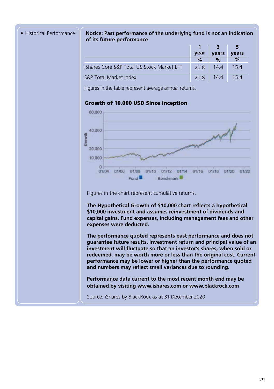#### • Historical Performance **Notice: Past performance of the underlying fund is not an indication of its future performance**

|                                            |      | $1 \quad 3$    | - 5          |
|--------------------------------------------|------|----------------|--------------|
|                                            | year | vears          | <b>vears</b> |
|                                            | %    | %              | %            |
| iShares Core S&P Total US Stock Market EFT | 20.8 | 14.4           | 154          |
| S&P Total Market Index                     |      | 20.8 14.4 15.4 |              |

Figures in the table represent average annual returns.

#### Growth of 10,000 USD Since Inception



Figures in the chart represent cumulative returns.

**The Hypothetical Growth of \$10,000 chart reflects a hypothetical \$10,000 investment and assumes reinvestment of dividends and capital gains. Fund expenses, including management fees and other expenses were deducted.**

**The performance quoted represents past performance and does not guarantee future results. Investment return and principal value of an investment will fluctuate so that an investor's shares, when sold or redeemed, may be worth more or less than the original cost. Current performance may be lower or higher than the performance quoted and numbers may reflect small variances due to rounding.** 

**Performance data current to the most recent month end may be obtained by visiting www.ishares.com or www.blackrock.com**

Source: iShares by BlackRock as at 31 December 2020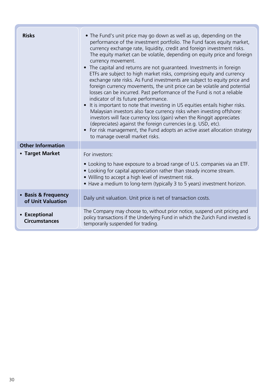| <b>Risks</b>                             | • The Fund's unit price may go down as well as up, depending on the<br>performance of the investment portfolio. The Fund faces equity market,<br>currency exchange rate, liquidity, credit and foreign investment risks.<br>The equity market can be volatile, depending on equity price and foreign<br>currency movement.<br>• The capital and returns are not quaranteed. Investments in foreign<br>ETFs are subject to high market risks, comprising equity and currency<br>exchange rate risks. As Fund investments are subject to equity price and<br>foreign currency movements, the unit price can be volatile and potential<br>losses can be incurred. Past performance of the Fund is not a reliable<br>indicator of its future performance.<br>• It is important to note that investing in US equities entails higher risks.<br>Malaysian investors also face currency risks when investing offshore:<br>investors will face currency loss (gain) when the Ringgit appreciates<br>(depreciates) against the foreign currencies (e.g. USD, etc).<br>• For risk management, the Fund adopts an active asset allocation strategy<br>to manage overall market risks. |
|------------------------------------------|----------------------------------------------------------------------------------------------------------------------------------------------------------------------------------------------------------------------------------------------------------------------------------------------------------------------------------------------------------------------------------------------------------------------------------------------------------------------------------------------------------------------------------------------------------------------------------------------------------------------------------------------------------------------------------------------------------------------------------------------------------------------------------------------------------------------------------------------------------------------------------------------------------------------------------------------------------------------------------------------------------------------------------------------------------------------------------------------------------------------------------------------------------------------------|
| <b>Other Information</b>                 |                                                                                                                                                                                                                                                                                                                                                                                                                                                                                                                                                                                                                                                                                                                                                                                                                                                                                                                                                                                                                                                                                                                                                                            |
| • Target Market                          | For investors:<br>• Looking to have exposure to a broad range of U.S. companies via an ETF.<br>• Looking for capital appreciation rather than steady income stream.<br>. Willing to accept a high level of investment risk.<br>• Have a medium to long-term (typically 3 to 5 years) investment horizon.                                                                                                                                                                                                                                                                                                                                                                                                                                                                                                                                                                                                                                                                                                                                                                                                                                                                   |
| • Basis & Frequency<br>of Unit Valuation | Daily unit valuation. Unit price is net of transaction costs.                                                                                                                                                                                                                                                                                                                                                                                                                                                                                                                                                                                                                                                                                                                                                                                                                                                                                                                                                                                                                                                                                                              |
| • Exceptional<br><b>Circumstances</b>    | The Company may choose to, without prior notice, suspend unit pricing and<br>policy transactions if the Underlying Fund in which the Zurich Fund invested is<br>temporarily suspended for trading.                                                                                                                                                                                                                                                                                                                                                                                                                                                                                                                                                                                                                                                                                                                                                                                                                                                                                                                                                                         |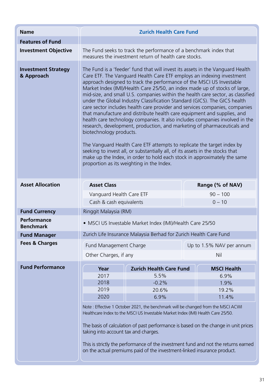| <b>Name</b>                              | <b>Zurich Health Care Fund</b>                                                                                                                                                                                                                                                                                                                                                                                                                                                                                                                                                                                                                                                                                                                                                                                                                                                                                                                                                                                                                                                                                    |                                |                          |                    |  |  |
|------------------------------------------|-------------------------------------------------------------------------------------------------------------------------------------------------------------------------------------------------------------------------------------------------------------------------------------------------------------------------------------------------------------------------------------------------------------------------------------------------------------------------------------------------------------------------------------------------------------------------------------------------------------------------------------------------------------------------------------------------------------------------------------------------------------------------------------------------------------------------------------------------------------------------------------------------------------------------------------------------------------------------------------------------------------------------------------------------------------------------------------------------------------------|--------------------------------|--------------------------|--------------------|--|--|
| <b>Features of Fund</b>                  |                                                                                                                                                                                                                                                                                                                                                                                                                                                                                                                                                                                                                                                                                                                                                                                                                                                                                                                                                                                                                                                                                                                   |                                |                          |                    |  |  |
| <b>Investment Objective</b>              | The Fund seeks to track the performance of a benchmark index that<br>measures the investment return of health care stocks.                                                                                                                                                                                                                                                                                                                                                                                                                                                                                                                                                                                                                                                                                                                                                                                                                                                                                                                                                                                        |                                |                          |                    |  |  |
| <b>Investment Strategy</b><br>& Approach | The Fund is a 'feeder' fund that will invest its assets in the Vanguard Health<br>Care ETF. The Vanguard Health Care ETF employs an indexing investment<br>approach designed to track the performance of the MSCI US Investable<br>Market Index (IMI)/Health Care 25/50, an index made up of stocks of large,<br>mid-size, and small U.S. companies within the health care sector, as classified<br>under the Global Industry Classification Standard (GICS). The GICS health<br>care sector includes health care provider and services companies, companies<br>that manufacture and distribute health care equipment and supplies, and<br>health care technology companies. It also includes companies involved in the<br>research, development, production, and marketing of pharmaceuticals and<br>biotechnology products.<br>The Vanguard Health Care ETF attempts to replicate the target index by<br>seeking to invest all, or substantially all, of its assets in the stocks that<br>make up the Index, in order to hold each stock in approximately the same<br>proportion as its weighting in the Index. |                                |                          |                    |  |  |
| <b>Asset Allocation</b>                  | <b>Asset Class</b>                                                                                                                                                                                                                                                                                                                                                                                                                                                                                                                                                                                                                                                                                                                                                                                                                                                                                                                                                                                                                                                                                                |                                |                          | Range (% of NAV)   |  |  |
|                                          | Vanguard Health Care ETF                                                                                                                                                                                                                                                                                                                                                                                                                                                                                                                                                                                                                                                                                                                                                                                                                                                                                                                                                                                                                                                                                          |                                |                          | $90 - 100$         |  |  |
|                                          | Cash & cash equivalents                                                                                                                                                                                                                                                                                                                                                                                                                                                                                                                                                                                                                                                                                                                                                                                                                                                                                                                                                                                                                                                                                           |                                |                          | $0 - 10$           |  |  |
| <b>Fund Currency</b>                     | Ringgit Malaysia (RM)                                                                                                                                                                                                                                                                                                                                                                                                                                                                                                                                                                                                                                                                                                                                                                                                                                                                                                                                                                                                                                                                                             |                                |                          |                    |  |  |
| Performance<br><b>Benchmark</b>          | · MSCI US Investable Market Index (IMI)/Health Care 25/50                                                                                                                                                                                                                                                                                                                                                                                                                                                                                                                                                                                                                                                                                                                                                                                                                                                                                                                                                                                                                                                         |                                |                          |                    |  |  |
| <b>Fund Manager</b>                      | Zurich Life Insurance Malaysia Berhad for Zurich Health Care Fund                                                                                                                                                                                                                                                                                                                                                                                                                                                                                                                                                                                                                                                                                                                                                                                                                                                                                                                                                                                                                                                 |                                |                          |                    |  |  |
| <b>Fees &amp; Charges</b>                | Fund Management Charge                                                                                                                                                                                                                                                                                                                                                                                                                                                                                                                                                                                                                                                                                                                                                                                                                                                                                                                                                                                                                                                                                            |                                | Up to 1.5% NAV per annum |                    |  |  |
|                                          | Other Charges, if any                                                                                                                                                                                                                                                                                                                                                                                                                                                                                                                                                                                                                                                                                                                                                                                                                                                                                                                                                                                                                                                                                             |                                | Nil                      |                    |  |  |
|                                          |                                                                                                                                                                                                                                                                                                                                                                                                                                                                                                                                                                                                                                                                                                                                                                                                                                                                                                                                                                                                                                                                                                                   |                                |                          |                    |  |  |
| <b>Fund Performance</b>                  | Year                                                                                                                                                                                                                                                                                                                                                                                                                                                                                                                                                                                                                                                                                                                                                                                                                                                                                                                                                                                                                                                                                                              | <b>Zurich Health Care Fund</b> |                          | <b>MSCI Health</b> |  |  |
|                                          | 2017<br>2018                                                                                                                                                                                                                                                                                                                                                                                                                                                                                                                                                                                                                                                                                                                                                                                                                                                                                                                                                                                                                                                                                                      | 5.5%<br>$-0.2%$                | 6.9%<br>1.9%             |                    |  |  |
|                                          | 2019                                                                                                                                                                                                                                                                                                                                                                                                                                                                                                                                                                                                                                                                                                                                                                                                                                                                                                                                                                                                                                                                                                              | 20.6%                          |                          | 19.2%              |  |  |
|                                          | 2020                                                                                                                                                                                                                                                                                                                                                                                                                                                                                                                                                                                                                                                                                                                                                                                                                                                                                                                                                                                                                                                                                                              | 6.9%                           | 11.4%                    |                    |  |  |
|                                          | Note: Effective 1 October 2021, the benchmark will be changed from the MSCI ACWI<br>Healthcare Index to the MSCI US Investable Market Index (IMI) Health Care 25/50.                                                                                                                                                                                                                                                                                                                                                                                                                                                                                                                                                                                                                                                                                                                                                                                                                                                                                                                                              |                                |                          |                    |  |  |
|                                          | The basis of calculation of past performance is based on the change in unit prices<br>taking into account tax and charges.<br>This is strictly the performance of the investment fund and not the returns earned<br>on the actual premiums paid of the investment-linked insurance product.                                                                                                                                                                                                                                                                                                                                                                                                                                                                                                                                                                                                                                                                                                                                                                                                                       |                                |                          |                    |  |  |
|                                          |                                                                                                                                                                                                                                                                                                                                                                                                                                                                                                                                                                                                                                                                                                                                                                                                                                                                                                                                                                                                                                                                                                                   |                                |                          |                    |  |  |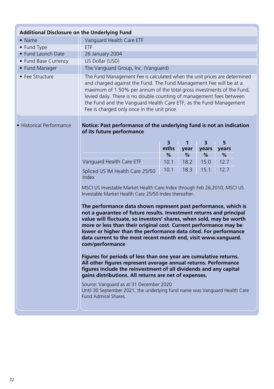| Additional Disclosure on the Underlying Fund                                                              |                                                                                                                                                                                                                                                                                                                                                                                                                                                                                                                                                                                  |      |              |       |       |  |
|-----------------------------------------------------------------------------------------------------------|----------------------------------------------------------------------------------------------------------------------------------------------------------------------------------------------------------------------------------------------------------------------------------------------------------------------------------------------------------------------------------------------------------------------------------------------------------------------------------------------------------------------------------------------------------------------------------|------|--------------|-------|-------|--|
| $\bullet$ Name                                                                                            | Vanguard Health Care ETF                                                                                                                                                                                                                                                                                                                                                                                                                                                                                                                                                         |      |              |       |       |  |
| • Fund Type                                                                                               | <b>ETF</b>                                                                                                                                                                                                                                                                                                                                                                                                                                                                                                                                                                       |      |              |       |       |  |
| • Fund Launch Date                                                                                        | 26 January 2004                                                                                                                                                                                                                                                                                                                                                                                                                                                                                                                                                                  |      |              |       |       |  |
| • Fund Base Currency                                                                                      | US Dollar (USD)                                                                                                                                                                                                                                                                                                                                                                                                                                                                                                                                                                  |      |              |       |       |  |
| • Fund Manager                                                                                            | The Vanguard Group, Inc. (Vanguard)                                                                                                                                                                                                                                                                                                                                                                                                                                                                                                                                              |      |              |       |       |  |
| • Fee Structure                                                                                           | The Fund Management Fee is calculated when the unit prices are determined<br>and charged against the Fund. The Fund Management Fee will be at a<br>maximum of 1.50% per annum of the total gross investments of the Fund,<br>levied daily. There is no double counting of management fees between<br>the Fund and the Vanguard Health Care ETF, as the Fund Management<br>Fee is charged only once in the unit price.                                                                                                                                                            |      |              |       |       |  |
| · Historical Performance                                                                                  | Notice: Past performance of the underlying fund is not an indication<br>of its future performance                                                                                                                                                                                                                                                                                                                                                                                                                                                                                |      |              |       |       |  |
|                                                                                                           |                                                                                                                                                                                                                                                                                                                                                                                                                                                                                                                                                                                  | 3    | $\mathbf{1}$ | 3     | 5     |  |
|                                                                                                           |                                                                                                                                                                                                                                                                                                                                                                                                                                                                                                                                                                                  | mths | vear         | years | vears |  |
|                                                                                                           |                                                                                                                                                                                                                                                                                                                                                                                                                                                                                                                                                                                  | $\%$ | %            | %     | %     |  |
|                                                                                                           | Vanguard Health Care ETF                                                                                                                                                                                                                                                                                                                                                                                                                                                                                                                                                         | 10.1 | 18.2         | 15.0  | 12.7  |  |
|                                                                                                           | Spliced US IM Health Care 25/50<br>Index                                                                                                                                                                                                                                                                                                                                                                                                                                                                                                                                         | 10.1 | 18.3         | 15.1  | 12.7  |  |
|                                                                                                           | MSCI US Investable Market Health Care Index through Feb 26,2010; MSCI US<br>Investable Market Health Care 25/50 Index thereafter.<br>The performance data shown represent past performance, which is<br>not a quarantee of future results. Investment returns and principal<br>value will fluctuate, so investors' shares, when sold, may be worth<br>more or less than their original cost. Current performance may be<br>lower or higher than the performance data cited. For performance<br>data current to the most recent month end, visit www.vanquard.<br>com/performance |      |              |       |       |  |
|                                                                                                           | Figures for periods of less than one year are cumulative returns.<br>All other figures represent average annual returns. Performance<br>figures include the reinvestment of all dividends and any capital<br>gains distributions. All returns are net of expenses.<br>Source: Vanguard as at 31 December 2020                                                                                                                                                                                                                                                                    |      |              |       |       |  |
| Until 30 September 2021, the underlying fund name was Vanguard Health Care<br><b>Fund Admiral Shares.</b> |                                                                                                                                                                                                                                                                                                                                                                                                                                                                                                                                                                                  |      |              |       |       |  |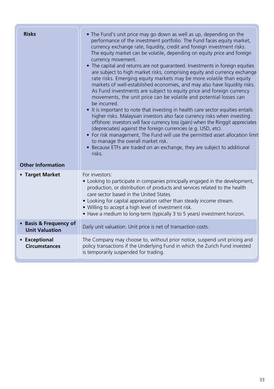| <b>Risks</b><br><b>Other Information</b>        | • The Fund's unit price may go down as well as up, depending on the<br>performance of the investment portfolio. The Fund faces equity market,<br>currency exchange rate, liquidity, credit and foreign investment risks.<br>The equity market can be volatile, depending on equity price and foreign<br>currency movement.<br>• The capital and returns are not quaranteed. Investments in foreign equities<br>are subject to high market risks, comprising equity and currency exchange<br>rate risks. Emerging equity markets may be more volatile than equity<br>markets of well-established economies, and may also have liquidity risks.<br>As Fund investments are subject to equity price and foreign currency<br>movements, the unit price can be volatile and potential losses can<br>be incurred.<br>• It is important to note that investing in health care sector equities entails<br>higher risks. Malaysian investors also face currency risks when investing<br>offshore: investors will face currency loss (gain) when the Ringgit appreciates<br>(depreciates) against the foreign currencies (e.g. USD, etc).<br>• For risk management, The Fund will use the permitted asset allocation limit<br>to manage the overall market risk.<br>• Because ETFs are traded on an exchange, they are subject to additional<br>risks. |
|-------------------------------------------------|----------------------------------------------------------------------------------------------------------------------------------------------------------------------------------------------------------------------------------------------------------------------------------------------------------------------------------------------------------------------------------------------------------------------------------------------------------------------------------------------------------------------------------------------------------------------------------------------------------------------------------------------------------------------------------------------------------------------------------------------------------------------------------------------------------------------------------------------------------------------------------------------------------------------------------------------------------------------------------------------------------------------------------------------------------------------------------------------------------------------------------------------------------------------------------------------------------------------------------------------------------------------------------------------------------------------------------------------|
| • Target Market                                 | For investors:<br>• Looking to participate in companies principally engaged in the development,<br>production, or distribution of products and services related to the health<br>care sector based in the United States.<br>• Looking for capital appreciation rather than steady income stream.<br>. Willing to accept a high level of investment risk.<br>• Have a medium to long-term (typically 3 to 5 years) investment horizon.                                                                                                                                                                                                                                                                                                                                                                                                                                                                                                                                                                                                                                                                                                                                                                                                                                                                                                        |
| • Basis & Frequency of<br><b>Unit Valuation</b> | Daily unit valuation. Unit price is net of transaction costs.                                                                                                                                                                                                                                                                                                                                                                                                                                                                                                                                                                                                                                                                                                                                                                                                                                                                                                                                                                                                                                                                                                                                                                                                                                                                                |
| • Exceptional<br><b>Circumstances</b>           | The Company may choose to, without prior notice, suspend unit pricing and<br>policy transactions if the Underlying Fund in which the Zurich Fund invested<br>is temporarily suspended for trading.                                                                                                                                                                                                                                                                                                                                                                                                                                                                                                                                                                                                                                                                                                                                                                                                                                                                                                                                                                                                                                                                                                                                           |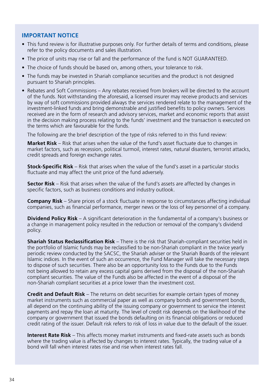#### **IMPORTANT NOTICE**

- This fund review is for illustrative purposes only. For further details of terms and conditions, please refer to the policy documents and sales illustration.
- The price of units may rise or fall and the performance of the fund is NOT GUARANTEED.
- The choice of funds should be based on, among others, your tolerance to risk.
- The funds may be invested in Shariah compliance securities and the product is not designed pursuant to Shariah principles.
- Rebates and Soft Commissions Any rebates received from brokers will be directed to the account of the funds. Not withstanding the aforesaid, a licensed insurer may receive products and services by way of soft commissions provided always the services rendered relate to the management of the investment-linked funds and bring demonstrable and justified benefits to policy owners. Services received are in the form of research and advisory services, market and economic reports that assist in the decision making process relating to the funds' investment and the transaction is executed on the terms which are favourable for the funds.

The following are the brief description of the type of risks referred to in this fund review:

**Market Risk** – Risk that arises when the value of the fund's asset fluctuate due to changes in market factors, such as recession, political turmoil, interest rates, natural disasters, terrorist attacks, credit spreads and foreign exchange rates.

**Stock-Specific Risk** – Risk that arises when the value of the fund's asset in a particular stocks fluctuate and may affect the unit price of the fund adversely.

**Sector Risk** – Risk that arises when the value of the fund's assets are affected by changes in specific factors, such as business conditions and industry outlook.

**Company Risk** – Share prices of a stock fluctuate in response to circumstances affecting individual companies, such as financial performance, merger news or the loss of key personnel of a company.

**Dividend Policy Risk** – A significant deterioration in the fundamental of a company's business or a change in management policy resulted in the reduction or removal of the company's dividend policy.

**Shariah Status Reclassification Risk** – There is the risk that Shariah-compliant securities held in the portfolio of Islamic funds may be reclassified to be non-Shariah compliant in the twice yearly periodic review conducted by the SACSC, the Shariah adviser or the Shariah Boards of the relevant Islamic indices. In the event of such an occurrence, the Fund Manager will take the necessary steps to dispose of such securities. There also be an opportunity loss to the Funds due to the Funds not being allowed to retain any excess capital gains derived from the disposal of the non-Shariah compliant securities. The value of the Funds also be affected in the event of a disposal of the non-Shariah compliant securities at a price lower than the investment cost.

**Credit and Default Risk** – The returns on debt securities for example certain types of money market instruments such as commercial paper as well as company bonds and government bonds, all depend on the continuing ability of the issuing company or government to service the interest payments and repay the loan at maturity. The level of credit risk depends on the likelihood of the company or government that issued the bonds defaulting on its financial obligations or reduced credit rating of the issuer. Default risk refers to risk of loss in value due to the default of the issuer.

**Interest Rate Risk** – This affects money market instruments and fixed-rate assets such as bonds where the trading value is affected by changes to interest rates. Typically, the trading value of a bond will fall when interest rates rise and rise when interest rates fall.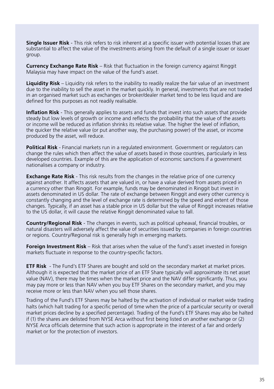**Single Issuer Risk** - This risk refers to risk inherent at a specific issuer with potential losses that are substantial to affect the value of the investments arising from the default of a single issuer or issuer group.

**Currency Exchange Rate Risk** – Risk that fluctuation in the foreign currency against Ringgit Malaysia may have impact on the value of the fund's asset.

**Liquidity Risk** – Liquidity risk refers to the inability to readily realize the fair value of an investment due to the inability to sell the asset in the market quickly. In general, investments that are not traded in an organised market such as exchanges or broker/dealer market tend to be less liquid and are defined for this purposes as not readily realisable.

**Inflation Risk** - This generally applies to assets and funds that invest into such assets that provide steady but low levels of growth or income and reflects the probability that the value of the assets or income will be reduced as inflation shrinks its relative value. The higher the level of inflation, the quicker the relative value (or put another way, the purchasing power) of the asset, or income produced by the asset, will reduce.

**Political Risk** - Financial markets run in a regulated environment. Government or regulators can change the rules which then affect the value of assets based in those countries, particularly in less developed countries. Example of this are the application of economic sanctions if a government nationalises a company or industry.

**Exchange Rate Risk** - This risk results from the changes in the relative price of one currency against another. It affects assets that are valued in, or have a value derived from assets priced in a currency other than Ringgit. For example, funds may be denominated in Ringgit but invest in assets denominated in US dollar. The rate of exchange between Ringgit and every other currency is constantly changing and the level of exchange rate is determined by the speed and extent of those changes. Typically, if an asset has a stable price in US dollar but the value of Ringgit increases relative to the US dollar, it will cause the relative Ringgit denominated value to fall.

**Country/Regional Risk** - The changes in events, such as political upheaval, financial troubles, or natural disasters will adversely affect the value of securities issued by companies in foreign countries or regions. Country/Regional risk is generally high in emerging markets.

**Foreign Investment Risk** – Risk that arises when the value of the fund's asset invested in foreign markets fluctuate in response to the country-specific factors.

**ETF Risk** - The Fund's ETF Shares are bought and sold on the secondary market at market prices. Although it is expected that the market price of an ETF Share typically will approximate its net asset value (NAV), there may be times when the market price and the NAV differ significantly. Thus, you may pay more or less than NAV when you buy ETF Shares on the secondary market, and you may receive more or less than NAV when you sell those shares.

Trading of the Fund's ETF Shares may be halted by the activation of individual or market wide trading halts (which halt trading for a specific period of time when the price of a particular security or overall market prices decline by a specified percentage). Trading of the Fund's ETF Shares may also be halted if (1) the shares are delisted from NYSE Arca without first being listed on another exchange or (2) NYSE Arca officials determine that such action is appropriate in the interest of a fair and orderly market or for the protection of investors.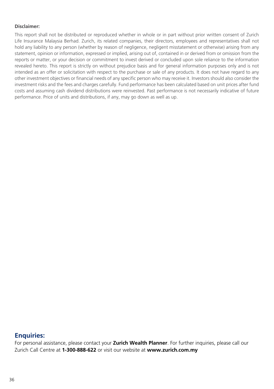#### **Disclaimer:**

This report shall not be distributed or reproduced whether in whole or in part without prior written consent of Zurich Life Insurance Malaysia Berhad. Zurich, its related companies, their directors, employees and representatives shall not hold any liability to any person (whether by reason of negligence, negligent misstatement or otherwise) arising from any statement, opinion or information, expressed or implied, arising out of, contained in or derived from or omission from the reports or matter, or your decision or commitment to invest derived or concluded upon sole reliance to the information revealed hereto. This report is strictly on without prejudice basis and for general information purposes only and is not intended as an offer or solicitation with respect to the purchase or sale of any products. It does not have regard to any other investment objectives or financial needs of any specific person who may receive it. Investors should also consider the investment risks and the fees and charges carefully. Fund performance has been calculated based on unit prices after fund costs and assuming cash dividend distributions were reinvested. Past performance is not necessarily indicative of future performance. Price of units and distributions, if any, may go down as well as up.

#### **Enquiries:**

For personal assistance, please contact your **Zurich Wealth Planner**. For further inquiries, please call our Zurich Call Centre at **1-300-888-622** or visit our website at **www.zurich.com.my**